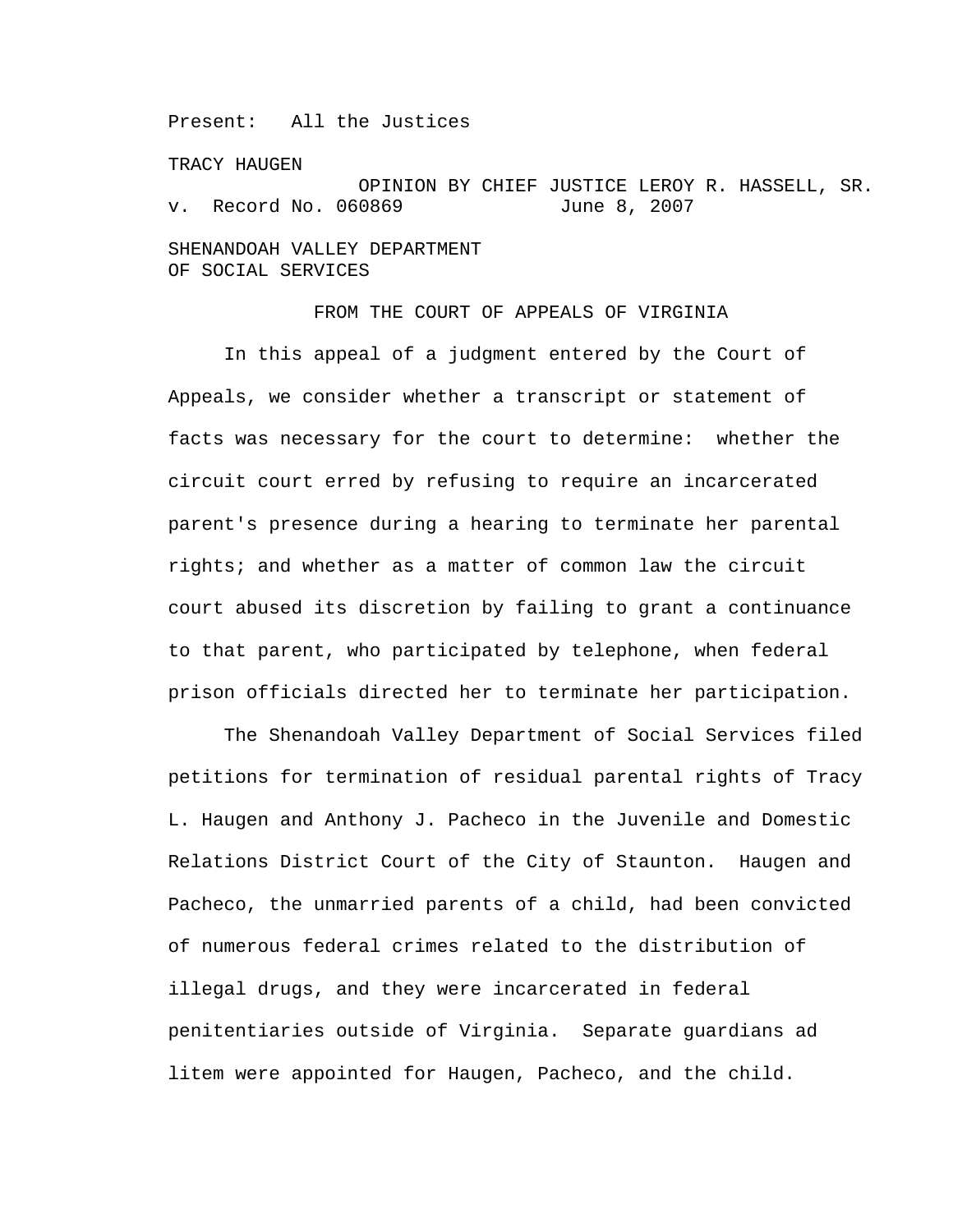Present: All the Justices

TRACY HAUGEN

OPINION BY CHIEF JUSTICE LEROY R. HASSELL, SR. v. Record No. 060869 June 8, 2007 SHENANDOAH VALLEY DEPARTMENT

OF SOCIAL SERVICES

## FROM THE COURT OF APPEALS OF VIRGINIA

 In this appeal of a judgment entered by the Court of Appeals, we consider whether a transcript or statement of facts was necessary for the court to determine: whether the circuit court erred by refusing to require an incarcerated parent's presence during a hearing to terminate her parental rights; and whether as a matter of common law the circuit court abused its discretion by failing to grant a continuance to that parent, who participated by telephone, when federal prison officials directed her to terminate her participation.

 The Shenandoah Valley Department of Social Services filed petitions for termination of residual parental rights of Tracy L. Haugen and Anthony J. Pacheco in the Juvenile and Domestic Relations District Court of the City of Staunton. Haugen and Pacheco, the unmarried parents of a child, had been convicted of numerous federal crimes related to the distribution of illegal drugs, and they were incarcerated in federal penitentiaries outside of Virginia. Separate guardians ad litem were appointed for Haugen, Pacheco, and the child.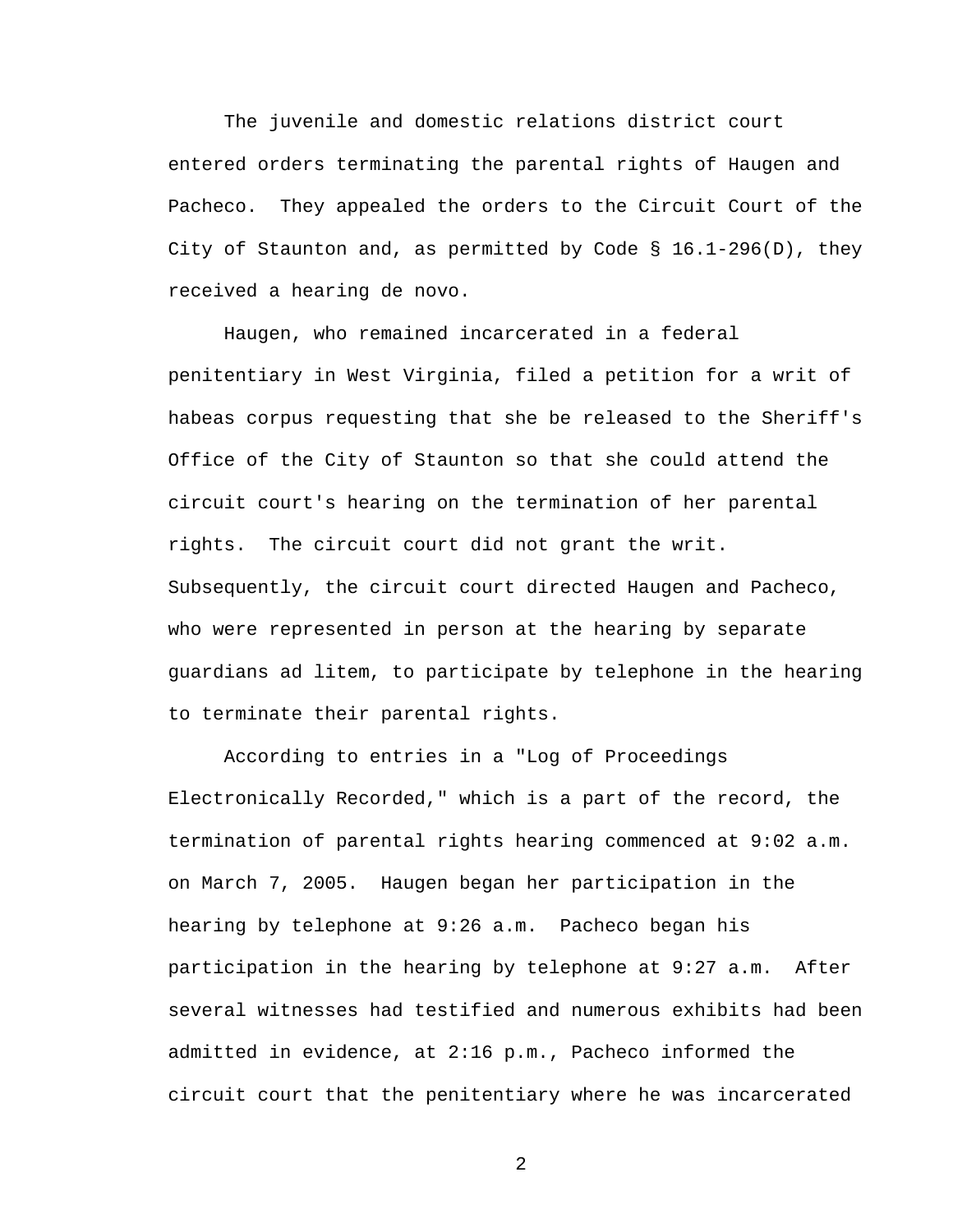The juvenile and domestic relations district court entered orders terminating the parental rights of Haugen and Pacheco. They appealed the orders to the Circuit Court of the City of Staunton and, as permitted by Code § 16.1-296(D), they received a hearing de novo.

 Haugen, who remained incarcerated in a federal penitentiary in West Virginia, filed a petition for a writ of habeas corpus requesting that she be released to the Sheriff's Office of the City of Staunton so that she could attend the circuit court's hearing on the termination of her parental rights. The circuit court did not grant the writ. Subsequently, the circuit court directed Haugen and Pacheco, who were represented in person at the hearing by separate guardians ad litem, to participate by telephone in the hearing to terminate their parental rights.

According to entries in a "Log of Proceedings Electronically Recorded," which is a part of the record, the termination of parental rights hearing commenced at 9:02 a.m. on March 7, 2005. Haugen began her participation in the hearing by telephone at 9:26 a.m. Pacheco began his participation in the hearing by telephone at 9:27 a.m. After several witnesses had testified and numerous exhibits had been admitted in evidence, at 2:16 p.m., Pacheco informed the circuit court that the penitentiary where he was incarcerated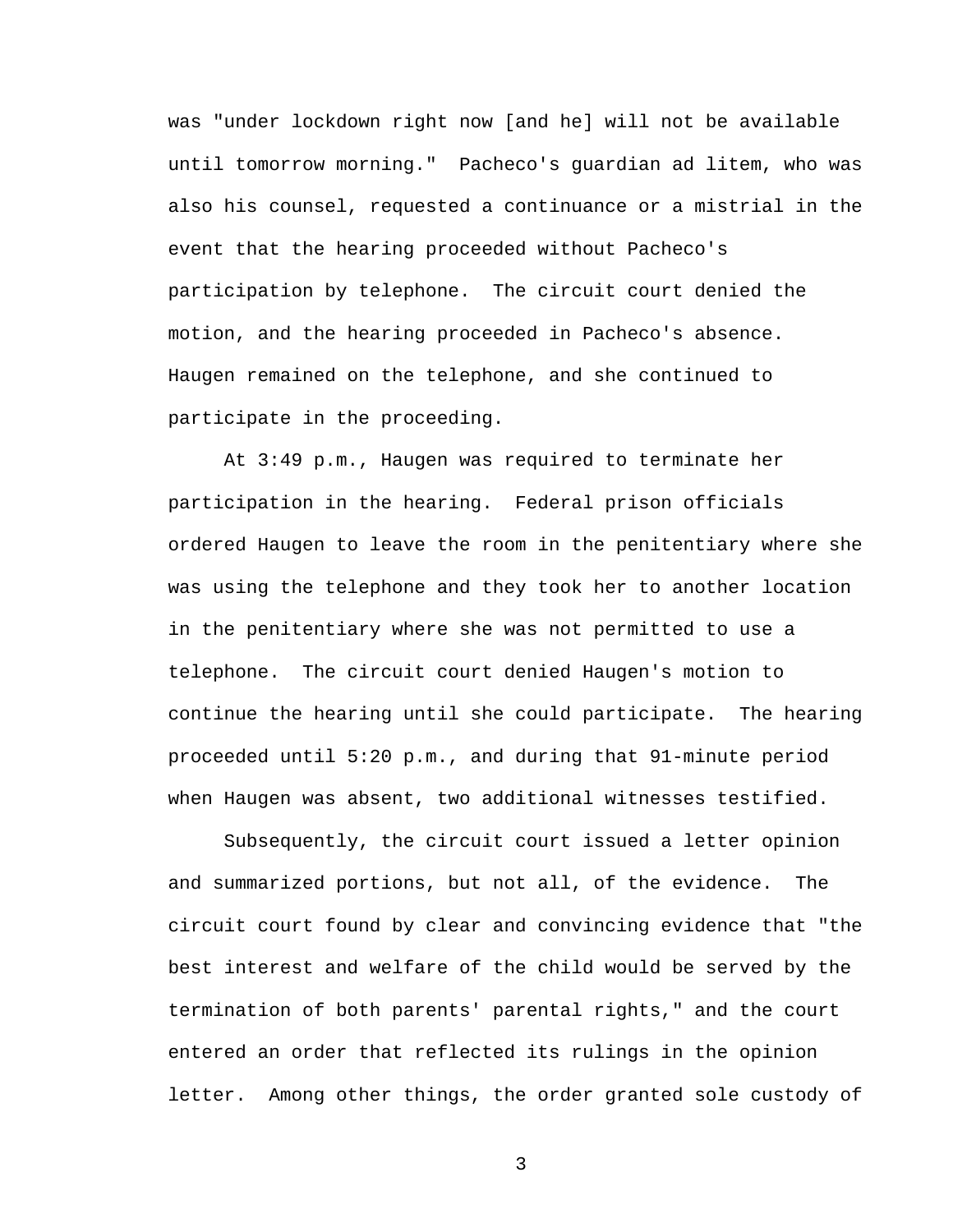was "under lockdown right now [and he] will not be available until tomorrow morning." Pacheco's guardian ad litem, who was also his counsel, requested a continuance or a mistrial in the event that the hearing proceeded without Pacheco's participation by telephone. The circuit court denied the motion, and the hearing proceeded in Pacheco's absence. Haugen remained on the telephone, and she continued to participate in the proceeding.

 At 3:49 p.m., Haugen was required to terminate her participation in the hearing. Federal prison officials ordered Haugen to leave the room in the penitentiary where she was using the telephone and they took her to another location in the penitentiary where she was not permitted to use a telephone. The circuit court denied Haugen's motion to continue the hearing until she could participate. The hearing proceeded until 5:20 p.m., and during that 91-minute period when Haugen was absent, two additional witnesses testified.

 Subsequently, the circuit court issued a letter opinion and summarized portions, but not all, of the evidence. The circuit court found by clear and convincing evidence that "the best interest and welfare of the child would be served by the termination of both parents' parental rights," and the court entered an order that reflected its rulings in the opinion letter. Among other things, the order granted sole custody of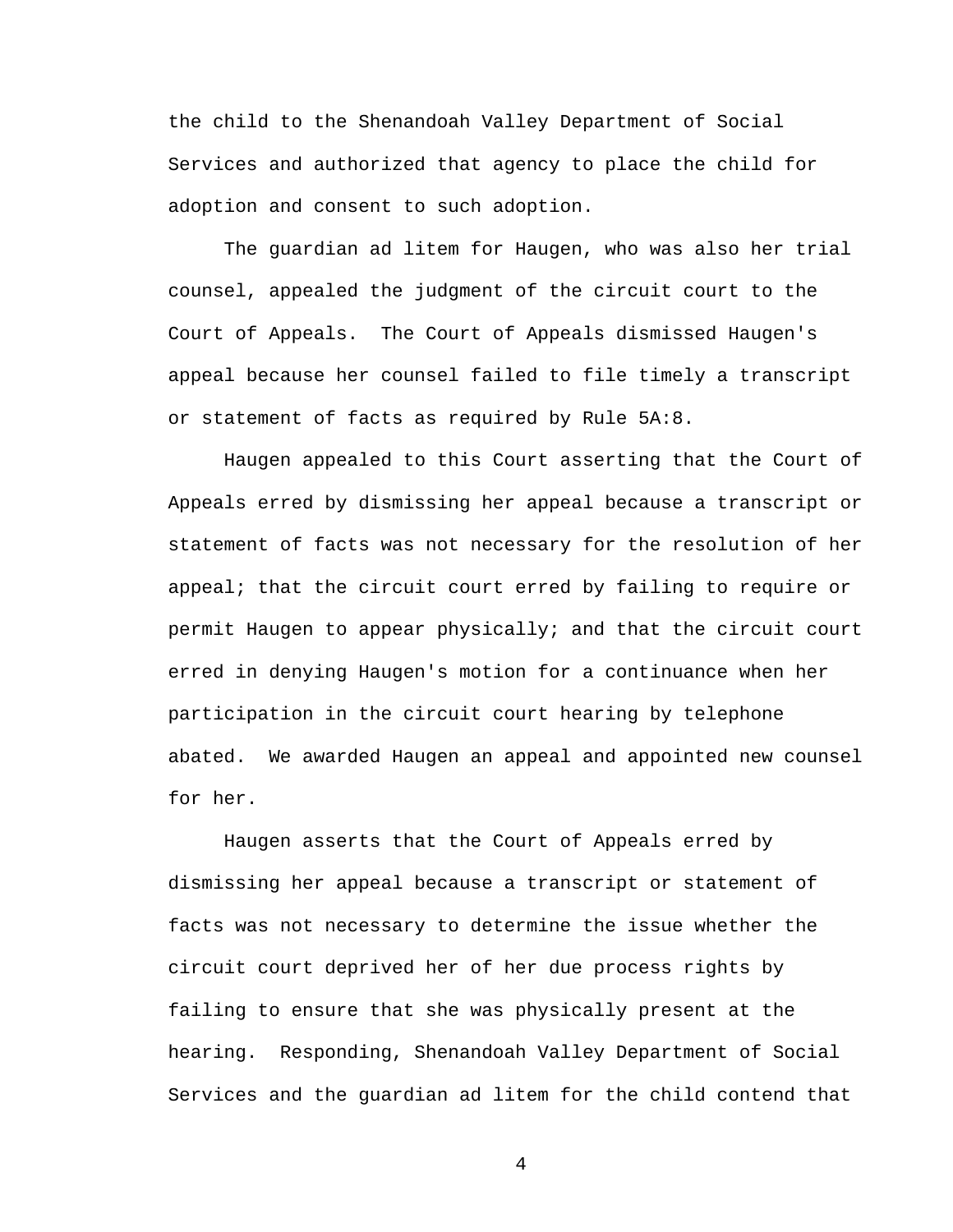the child to the Shenandoah Valley Department of Social Services and authorized that agency to place the child for adoption and consent to such adoption.

 The guardian ad litem for Haugen, who was also her trial counsel, appealed the judgment of the circuit court to the Court of Appeals. The Court of Appeals dismissed Haugen's appeal because her counsel failed to file timely a transcript or statement of facts as required by Rule 5A:8.

 Haugen appealed to this Court asserting that the Court of Appeals erred by dismissing her appeal because a transcript or statement of facts was not necessary for the resolution of her appeal; that the circuit court erred by failing to require or permit Haugen to appear physically; and that the circuit court erred in denying Haugen's motion for a continuance when her participation in the circuit court hearing by telephone abated. We awarded Haugen an appeal and appointed new counsel for her.

 Haugen asserts that the Court of Appeals erred by dismissing her appeal because a transcript or statement of facts was not necessary to determine the issue whether the circuit court deprived her of her due process rights by failing to ensure that she was physically present at the hearing. Responding, Shenandoah Valley Department of Social Services and the guardian ad litem for the child contend that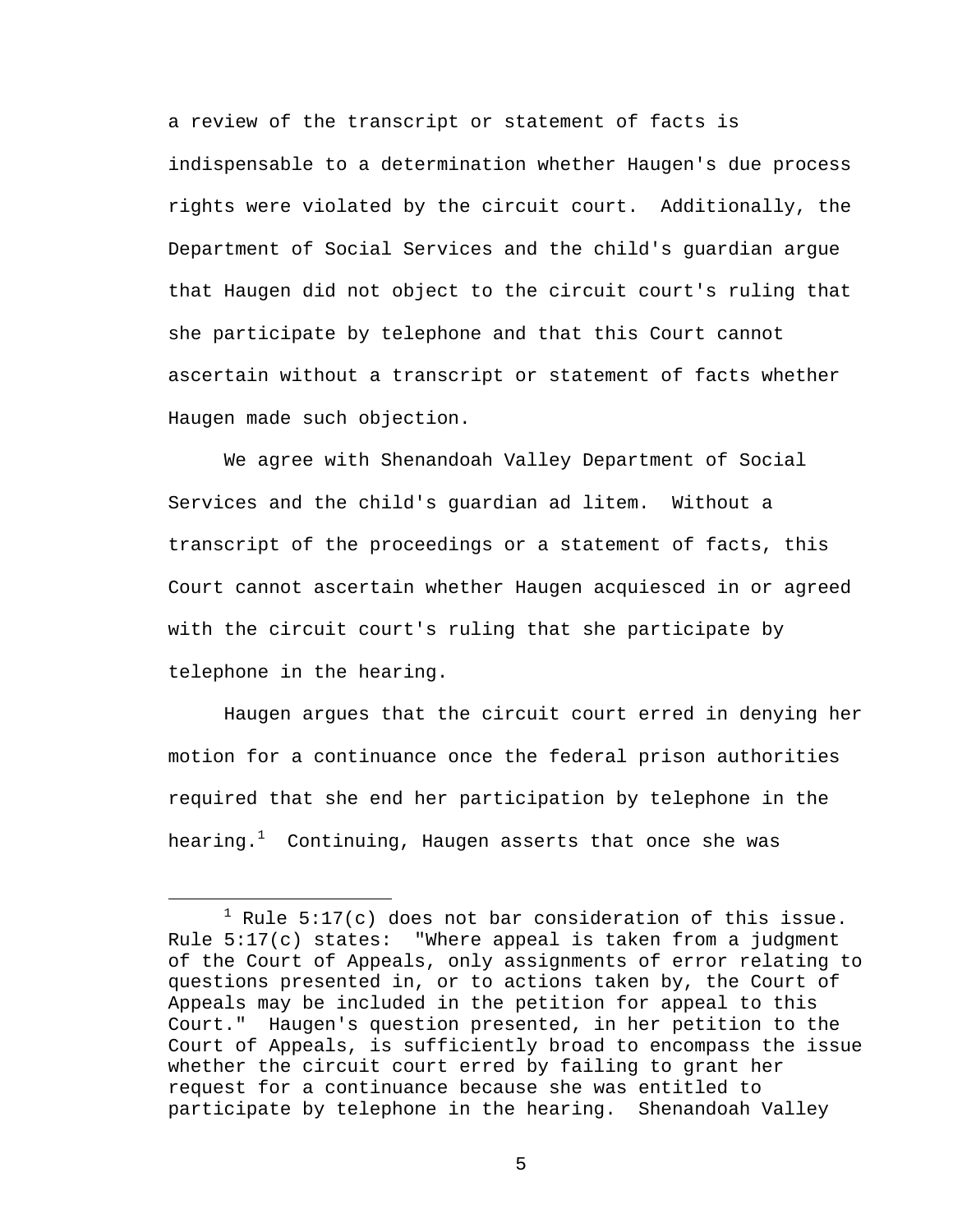a review of the transcript or statement of facts is indispensable to a determination whether Haugen's due process rights were violated by the circuit court. Additionally, the Department of Social Services and the child's guardian argue that Haugen did not object to the circuit court's ruling that she participate by telephone and that this Court cannot ascertain without a transcript or statement of facts whether Haugen made such objection.

We agree with Shenandoah Valley Department of Social Services and the child's guardian ad litem. Without a transcript of the proceedings or a statement of facts, this Court cannot ascertain whether Haugen acquiesced in or agreed with the circuit court's ruling that she participate by telephone in the hearing.

 Haugen argues that the circuit court erred in denying her motion for a continuance once the federal prison authorities required that she end her participation by telephone in the hearing. $^1$  Continuing, Haugen asserts that once she was

 $\overline{\phantom{a}}$  $1$  Rule 5:17(c) does not bar consideration of this issue. Rule 5:17(c) states: "Where appeal is taken from a judgment of the Court of Appeals, only assignments of error relating to questions presented in, or to actions taken by, the Court of Appeals may be included in the petition for appeal to this Court." Haugen's question presented, in her petition to the Court of Appeals, is sufficiently broad to encompass the issue whether the circuit court erred by failing to grant her request for a continuance because she was entitled to participate by telephone in the hearing. Shenandoah Valley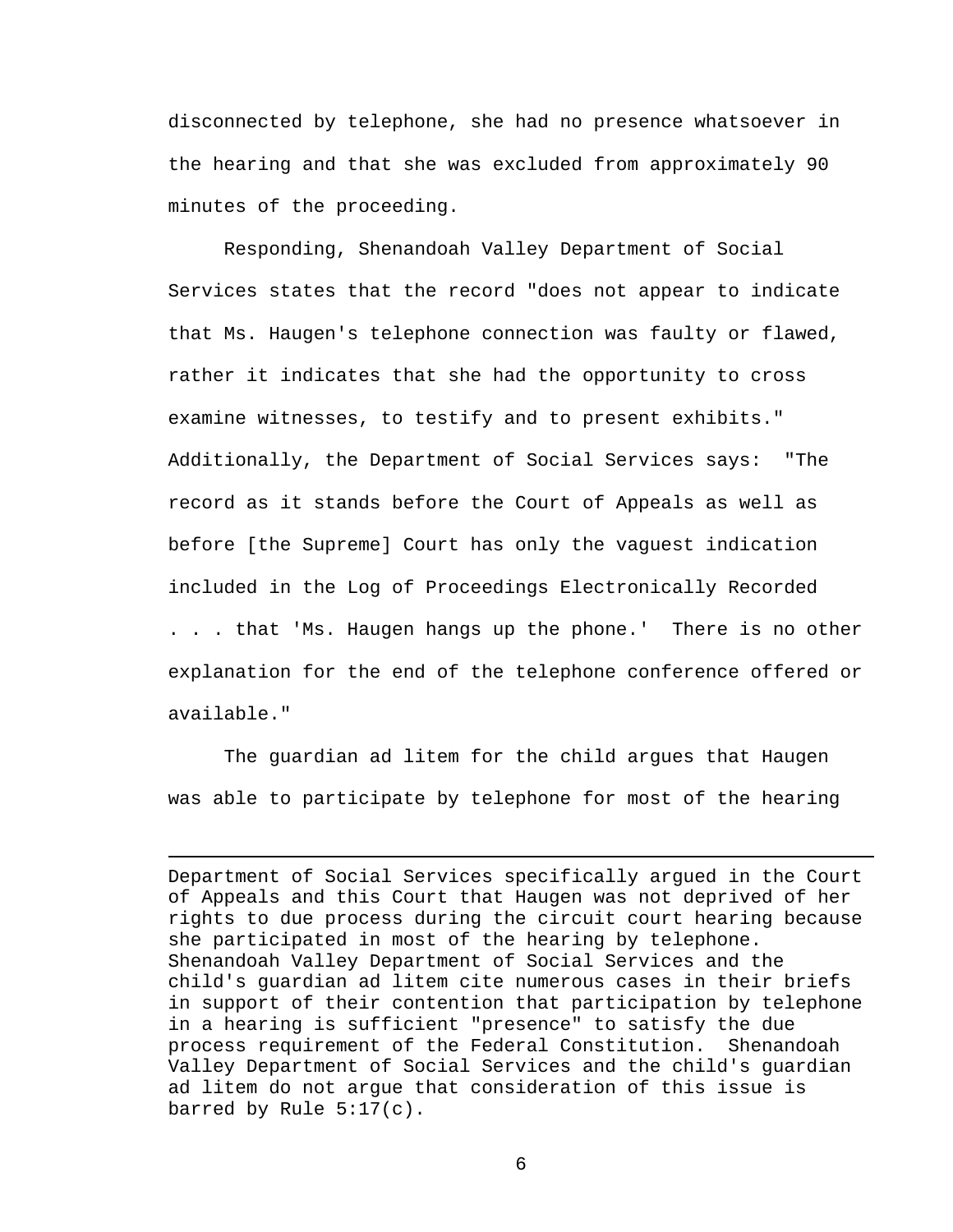disconnected by telephone, she had no presence whatsoever in the hearing and that she was excluded from approximately 90 minutes of the proceeding.

Responding, Shenandoah Valley Department of Social Services states that the record "does not appear to indicate that Ms. Haugen's telephone connection was faulty or flawed, rather it indicates that she had the opportunity to cross examine witnesses, to testify and to present exhibits." Additionally, the Department of Social Services says: "The record as it stands before the Court of Appeals as well as before [the Supreme] Court has only the vaguest indication included in the Log of Proceedings Electronically Recorded . . . that 'Ms. Haugen hangs up the phone.' There is no other explanation for the end of the telephone conference offered or available."

The guardian ad litem for the child argues that Haugen was able to participate by telephone for most of the hearing

i

Department of Social Services specifically argued in the Court of Appeals and this Court that Haugen was not deprived of her rights to due process during the circuit court hearing because she participated in most of the hearing by telephone. Shenandoah Valley Department of Social Services and the child's guardian ad litem cite numerous cases in their briefs in support of their contention that participation by telephone in a hearing is sufficient "presence" to satisfy the due process requirement of the Federal Constitution. Shenandoah Valley Department of Social Services and the child's guardian ad litem do not argue that consideration of this issue is barred by Rule 5:17(c).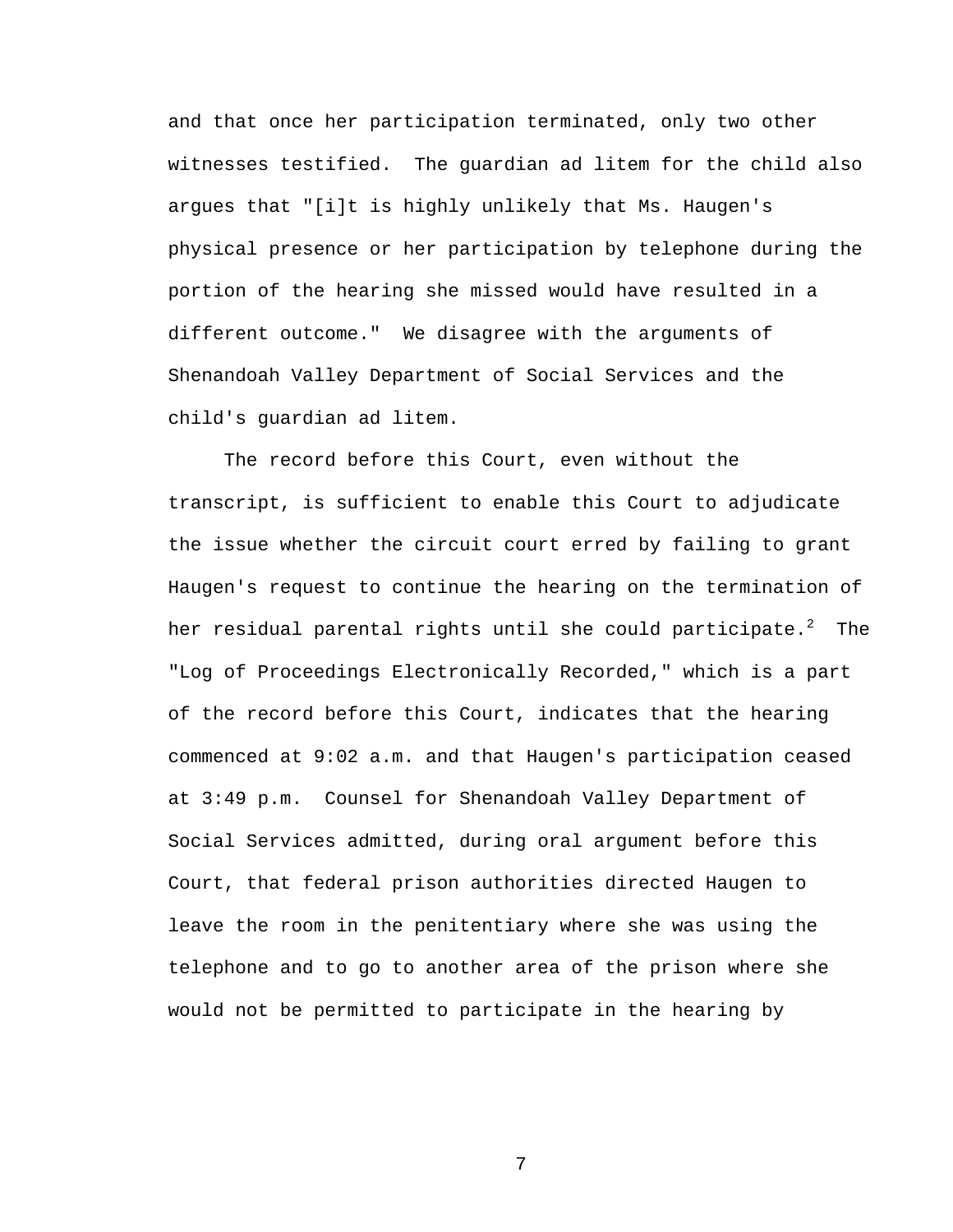and that once her participation terminated, only two other witnesses testified. The guardian ad litem for the child also argues that "[i]t is highly unlikely that Ms. Haugen's physical presence or her participation by telephone during the portion of the hearing she missed would have resulted in a different outcome." We disagree with the arguments of Shenandoah Valley Department of Social Services and the child's guardian ad litem.

The record before this Court, even without the transcript, is sufficient to enable this Court to adjudicate the issue whether the circuit court erred by failing to grant Haugen's request to continue the hearing on the termination of her residual parental rights until she could participate. $^2\,$  The "Log of Proceedings Electronically Recorded," which is a part of the record before this Court, indicates that the hearing commenced at 9:02 a.m. and that Haugen's participation ceased at 3:49 p.m. Counsel for Shenandoah Valley Department of Social Services admitted, during oral argument before this Court, that federal prison authorities directed Haugen to leave the room in the penitentiary where she was using the telephone and to go to another area of the prison where she would not be permitted to participate in the hearing by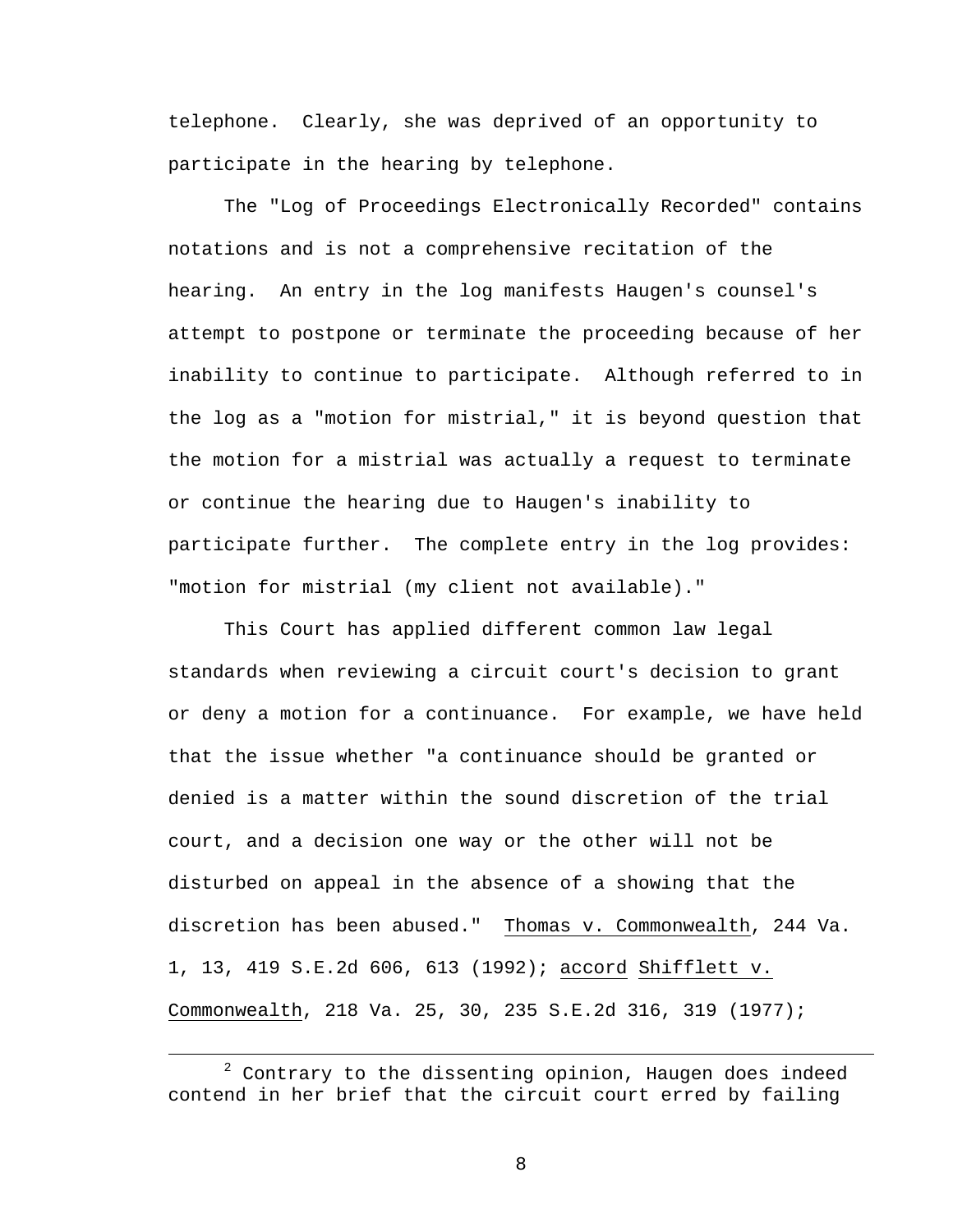telephone. Clearly, she was deprived of an opportunity to participate in the hearing by telephone.

The "Log of Proceedings Electronically Recorded" contains notations and is not a comprehensive recitation of the hearing. An entry in the log manifests Haugen's counsel's attempt to postpone or terminate the proceeding because of her inability to continue to participate. Although referred to in the log as a "motion for mistrial," it is beyond question that the motion for a mistrial was actually a request to terminate or continue the hearing due to Haugen's inability to participate further. The complete entry in the log provides: "motion for mistrial (my client not available)."

This Court has applied different common law legal standards when reviewing a circuit court's decision to grant or deny a motion for a continuance. For example, we have held that the issue whether "a continuance should be granted or denied is a matter within the sound discretion of the trial court, and a decision one way or the other will not be disturbed on appeal in the absence of a showing that the discretion has been abused." Thomas v. Commonwealth, 244 Va. 1, 13, 419 S.E.2d 606, 613 (1992); accord Shifflett v. Commonwealth, 218 Va. 25, 30, 235 S.E.2d 316, 319 (1977);

 $\overline{\phantom{a}}$  $2$  Contrary to the dissenting opinion, Haugen does indeed contend in her brief that the circuit court erred by failing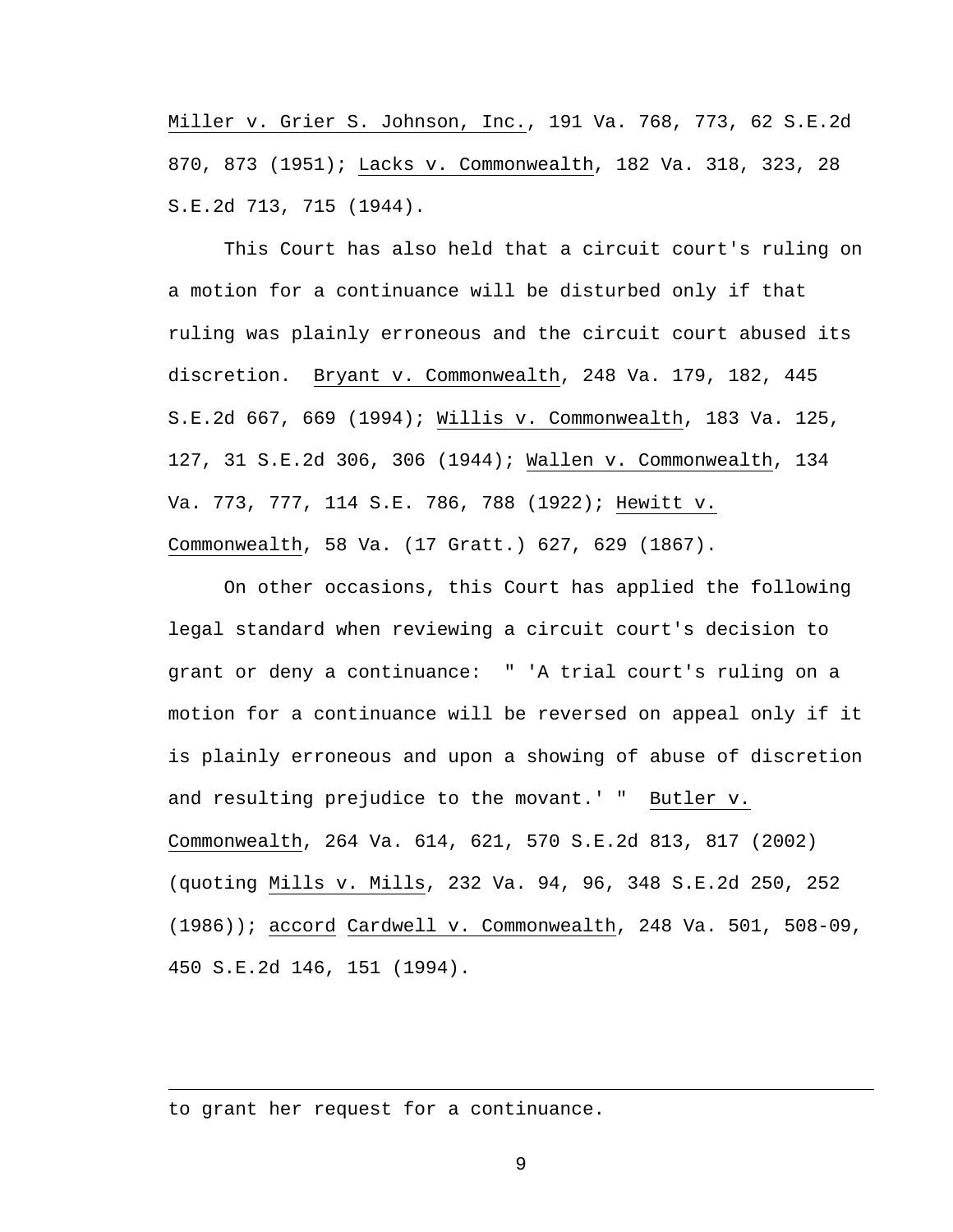Miller v. Grier S. Johnson, Inc., 191 Va. 768, 773, 62 S.E.2d 870, 873 (1951); Lacks v. Commonwealth, 182 Va. 318, 323, 28 S.E.2d 713, 715 (1944).

This Court has also held that a circuit court's ruling on a motion for a continuance will be disturbed only if that ruling was plainly erroneous and the circuit court abused its discretion. Bryant v. Commonwealth, 248 Va. 179, 182, 445 S.E.2d 667, 669 (1994); Willis v. Commonwealth, 183 Va. 125, 127, 31 S.E.2d 306, 306 (1944); Wallen v. Commonwealth, 134 Va. 773, 777, 114 S.E. 786, 788 (1922); Hewitt v. Commonwealth, 58 Va. (17 Gratt.) 627, 629 (1867).

On other occasions, this Court has applied the following legal standard when reviewing a circuit court's decision to grant or deny a continuance: " 'A trial court's ruling on a motion for a continuance will be reversed on appeal only if it is plainly erroneous and upon a showing of abuse of discretion and resulting prejudice to the movant.' " Butler v. Commonwealth, 264 Va. 614, 621, 570 S.E.2d 813, 817 (2002) (quoting Mills v. Mills, 232 Va. 94, 96, 348 S.E.2d 250, 252 (1986)); accord Cardwell v. Commonwealth, 248 Va. 501, 508-09, 450 S.E.2d 146, 151 (1994).

to grant her request for a continuance.

i<br>Li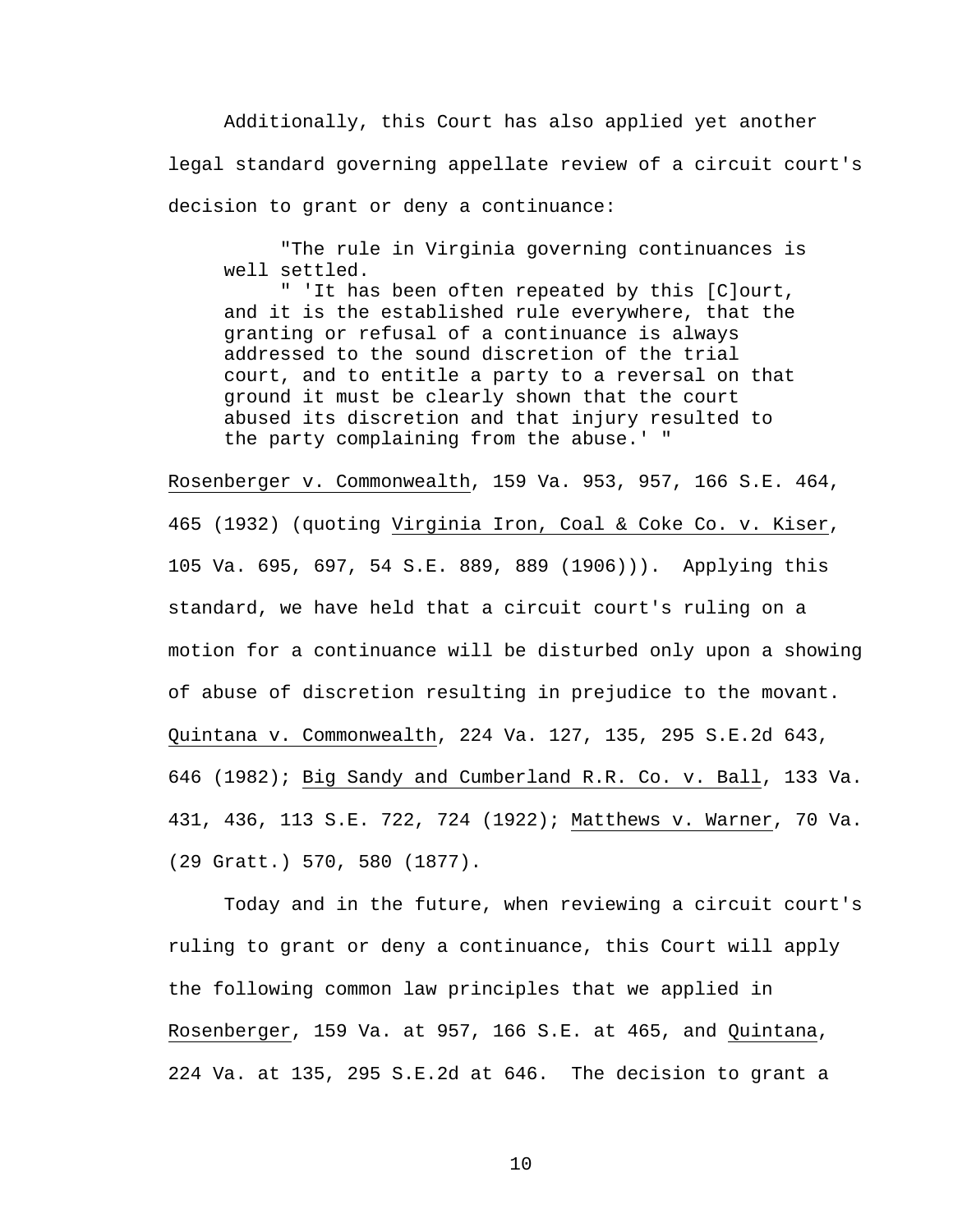Additionally, this Court has also applied yet another legal standard governing appellate review of a circuit court's decision to grant or deny a continuance:

 "The rule in Virginia governing continuances is well settled.

 " 'It has been often repeated by this [C]ourt, and it is the established rule everywhere, that the granting or refusal of a continuance is always addressed to the sound discretion of the trial court, and to entitle a party to a reversal on that ground it must be clearly shown that the court abused its discretion and that injury resulted to the party complaining from the abuse.' "

Rosenberger v. Commonwealth, 159 Va. 953, 957, 166 S.E. 464, 465 (1932) (quoting Virginia Iron, Coal & Coke Co. v. Kiser, 105 Va. 695, 697, 54 S.E. 889, 889 (1906))). Applying this standard, we have held that a circuit court's ruling on a motion for a continuance will be disturbed only upon a showing of abuse of discretion resulting in prejudice to the movant. Quintana v. Commonwealth, 224 Va. 127, 135, 295 S.E.2d 643, 646 (1982); Big Sandy and Cumberland R.R. Co. v. Ball, 133 Va. 431, 436, 113 S.E. 722, 724 (1922); Matthews v. Warner, 70 Va. (29 Gratt.) 570, 580 (1877).

Today and in the future, when reviewing a circuit court's ruling to grant or deny a continuance, this Court will apply the following common law principles that we applied in Rosenberger, 159 Va. at 957, 166 S.E. at 465, and Quintana, 224 Va. at 135, 295 S.E.2d at 646. The decision to grant a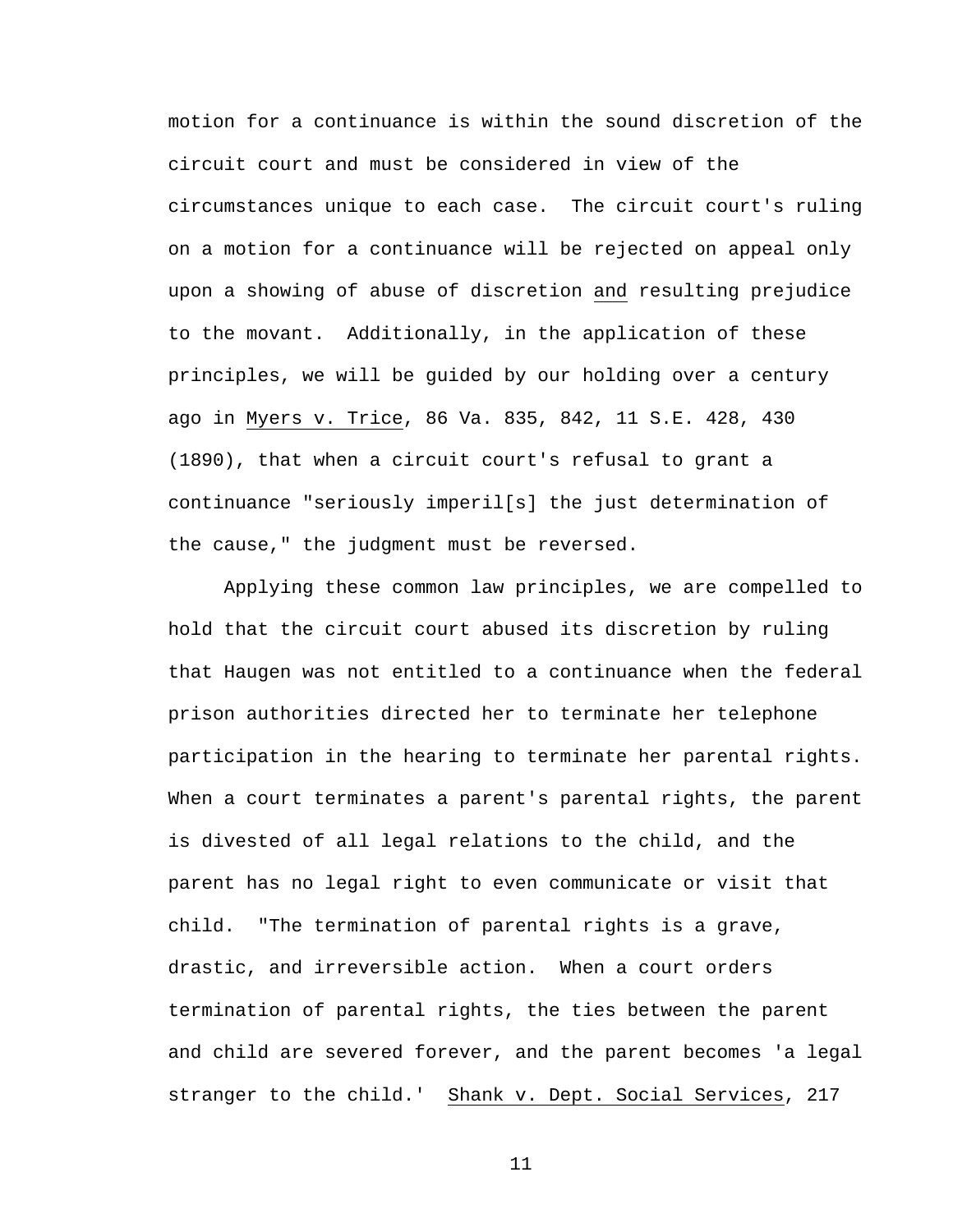motion for a continuance is within the sound discretion of the circuit court and must be considered in view of the circumstances unique to each case. The circuit court's ruling on a motion for a continuance will be rejected on appeal only upon a showing of abuse of discretion and resulting prejudice to the movant. Additionally, in the application of these principles, we will be guided by our holding over a century ago in Myers v. Trice, 86 Va. 835, 842, 11 S.E. 428, 430 (1890), that when a circuit court's refusal to grant a continuance "seriously imperil[s] the just determination of the cause," the judgment must be reversed.

Applying these common law principles, we are compelled to hold that the circuit court abused its discretion by ruling that Haugen was not entitled to a continuance when the federal prison authorities directed her to terminate her telephone participation in the hearing to terminate her parental rights. When a court terminates a parent's parental rights, the parent is divested of all legal relations to the child, and the parent has no legal right to even communicate or visit that child. "The termination of parental rights is a grave, drastic, and irreversible action. When a court orders termination of parental rights, the ties between the parent and child are severed forever, and the parent becomes 'a legal stranger to the child.' Shank v. Dept. Social Services, 217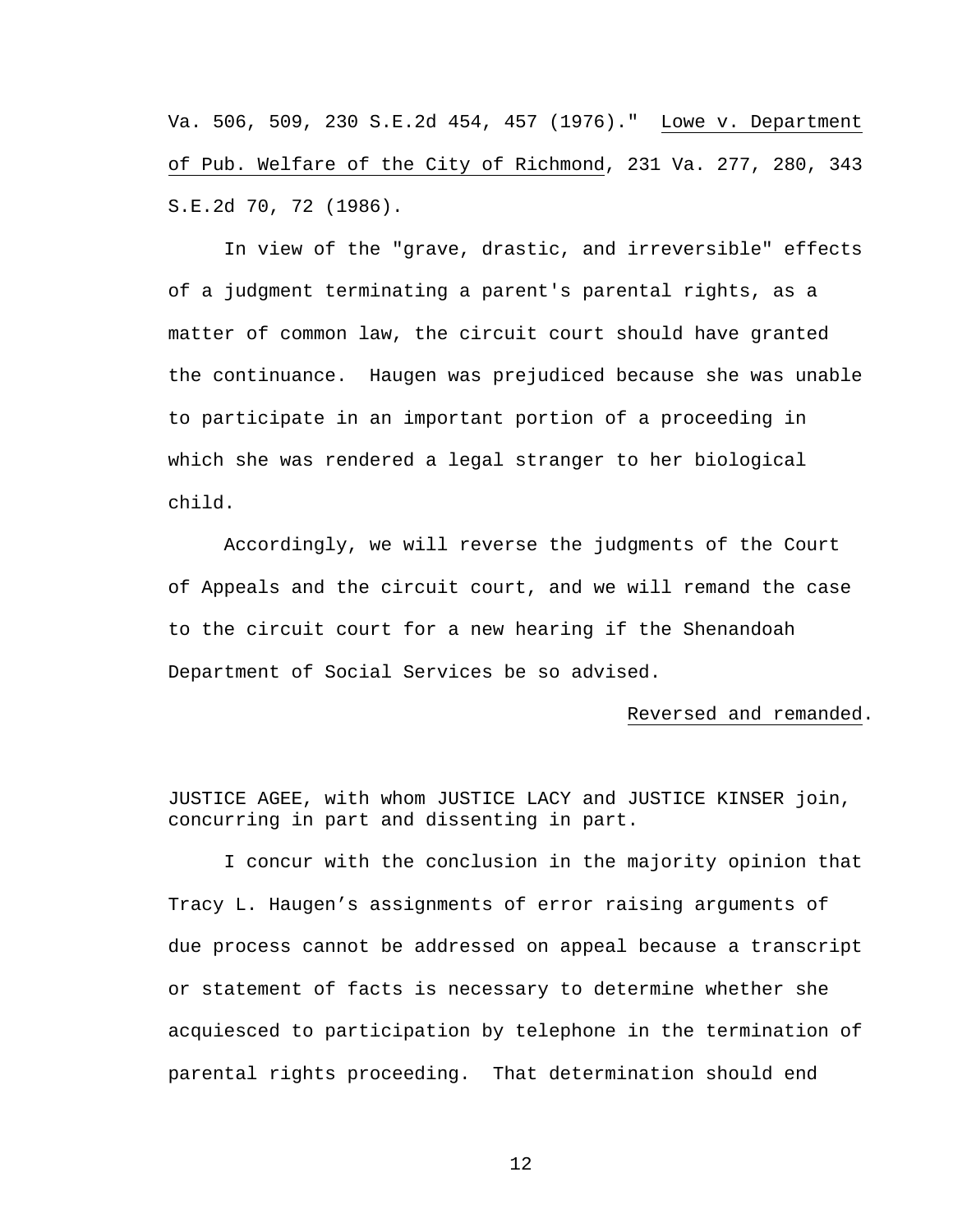Va. 506, 509, 230 S.E.2d 454, 457 (1976)." Lowe v. Department of Pub. Welfare of the City of Richmond, 231 Va. 277, 280, 343 S.E.2d 70, 72 (1986).

 In view of the "grave, drastic, and irreversible" effects of a judgment terminating a parent's parental rights, as a matter of common law, the circuit court should have granted the continuance. Haugen was prejudiced because she was unable to participate in an important portion of a proceeding in which she was rendered a legal stranger to her biological child.

 Accordingly, we will reverse the judgments of the Court of Appeals and the circuit court, and we will remand the case to the circuit court for a new hearing if the Shenandoah Department of Social Services be so advised.

#### Reversed and remanded.

JUSTICE AGEE, with whom JUSTICE LACY and JUSTICE KINSER join, concurring in part and dissenting in part.

 I concur with the conclusion in the majority opinion that Tracy L. Haugen's assignments of error raising arguments of due process cannot be addressed on appeal because a transcript or statement of facts is necessary to determine whether she acquiesced to participation by telephone in the termination of parental rights proceeding. That determination should end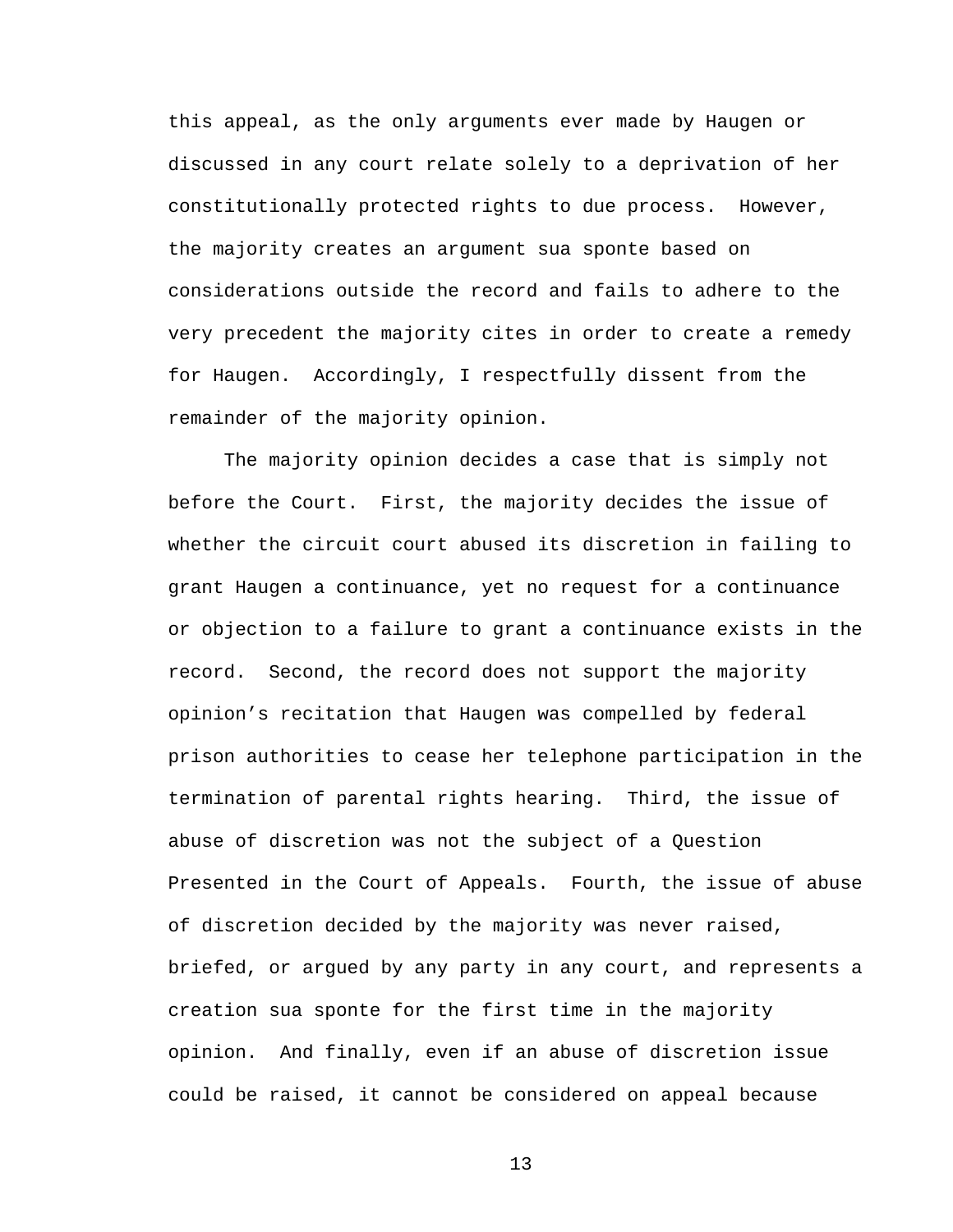this appeal, as the only arguments ever made by Haugen or discussed in any court relate solely to a deprivation of her constitutionally protected rights to due process. However, the majority creates an argument sua sponte based on considerations outside the record and fails to adhere to the very precedent the majority cites in order to create a remedy for Haugen. Accordingly, I respectfully dissent from the remainder of the majority opinion.

 The majority opinion decides a case that is simply not before the Court. First, the majority decides the issue of whether the circuit court abused its discretion in failing to grant Haugen a continuance, yet no request for a continuance or objection to a failure to grant a continuance exists in the record. Second, the record does not support the majority opinion's recitation that Haugen was compelled by federal prison authorities to cease her telephone participation in the termination of parental rights hearing. Third, the issue of abuse of discretion was not the subject of a Question Presented in the Court of Appeals. Fourth, the issue of abuse of discretion decided by the majority was never raised, briefed, or argued by any party in any court, and represents a creation sua sponte for the first time in the majority opinion. And finally, even if an abuse of discretion issue could be raised, it cannot be considered on appeal because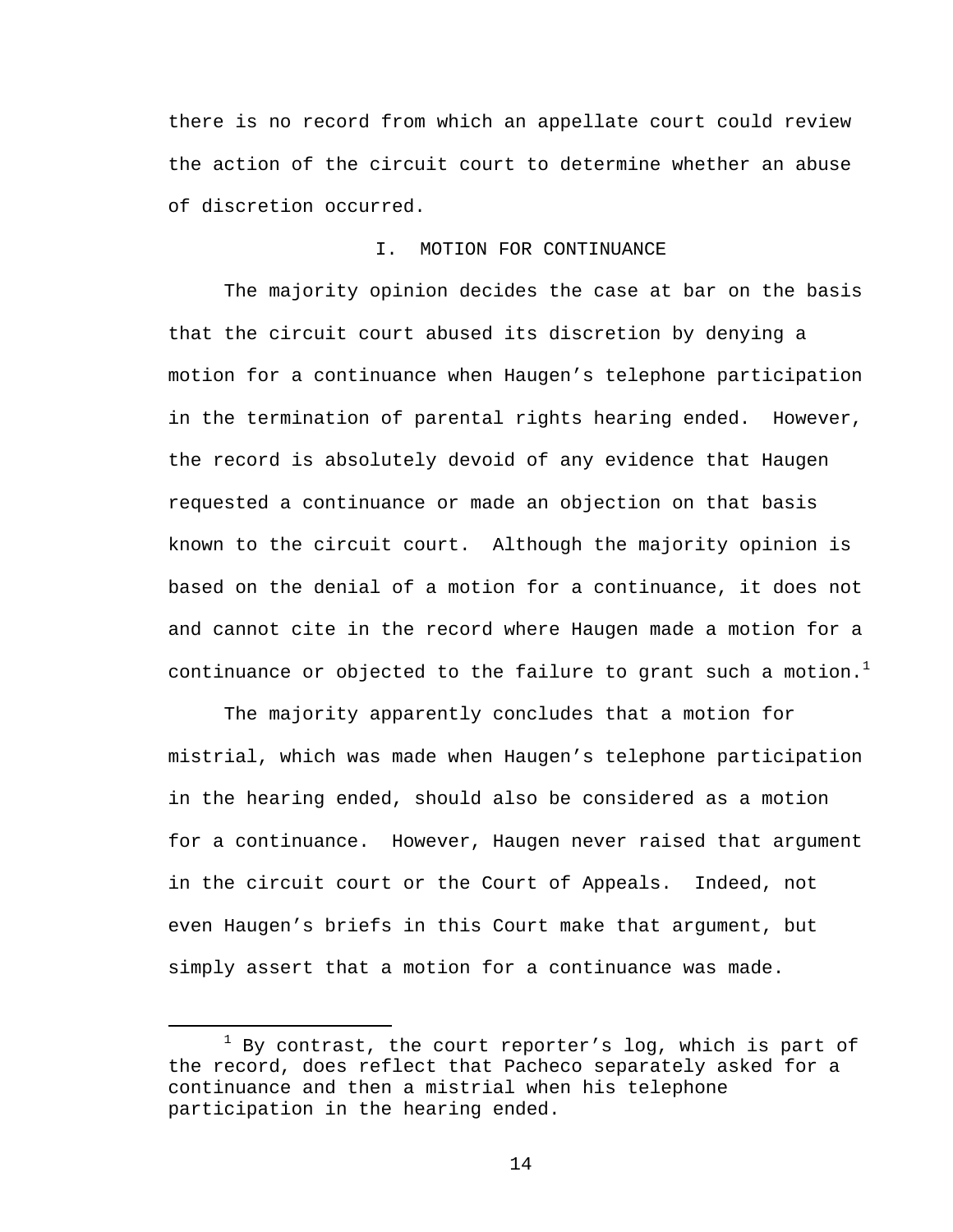there is no record from which an appellate court could review the action of the circuit court to determine whether an abuse of discretion occurred.

# I. MOTION FOR CONTINUANCE

 The majority opinion decides the case at bar on the basis that the circuit court abused its discretion by denying a motion for a continuance when Haugen's telephone participation in the termination of parental rights hearing ended. However, the record is absolutely devoid of any evidence that Haugen requested a continuance or made an objection on that basis known to the circuit court. Although the majority opinion is based on the denial of a motion for a continuance, it does not and cannot cite in the record where Haugen made a motion for a continuance or objected to the failure to grant such a motion.<sup>1</sup>

 The majority apparently concludes that a motion for mistrial, which was made when Haugen's telephone participation in the hearing ended, should also be considered as a motion for a continuance. However, Haugen never raised that argument in the circuit court or the Court of Appeals. Indeed, not even Haugen's briefs in this Court make that argument, but simply assert that a motion for a continuance was made.

<sup>&</sup>lt;u>1</u>  $1$  By contrast, the court reporter's log, which is part of the record, does reflect that Pacheco separately asked for a continuance and then a mistrial when his telephone participation in the hearing ended.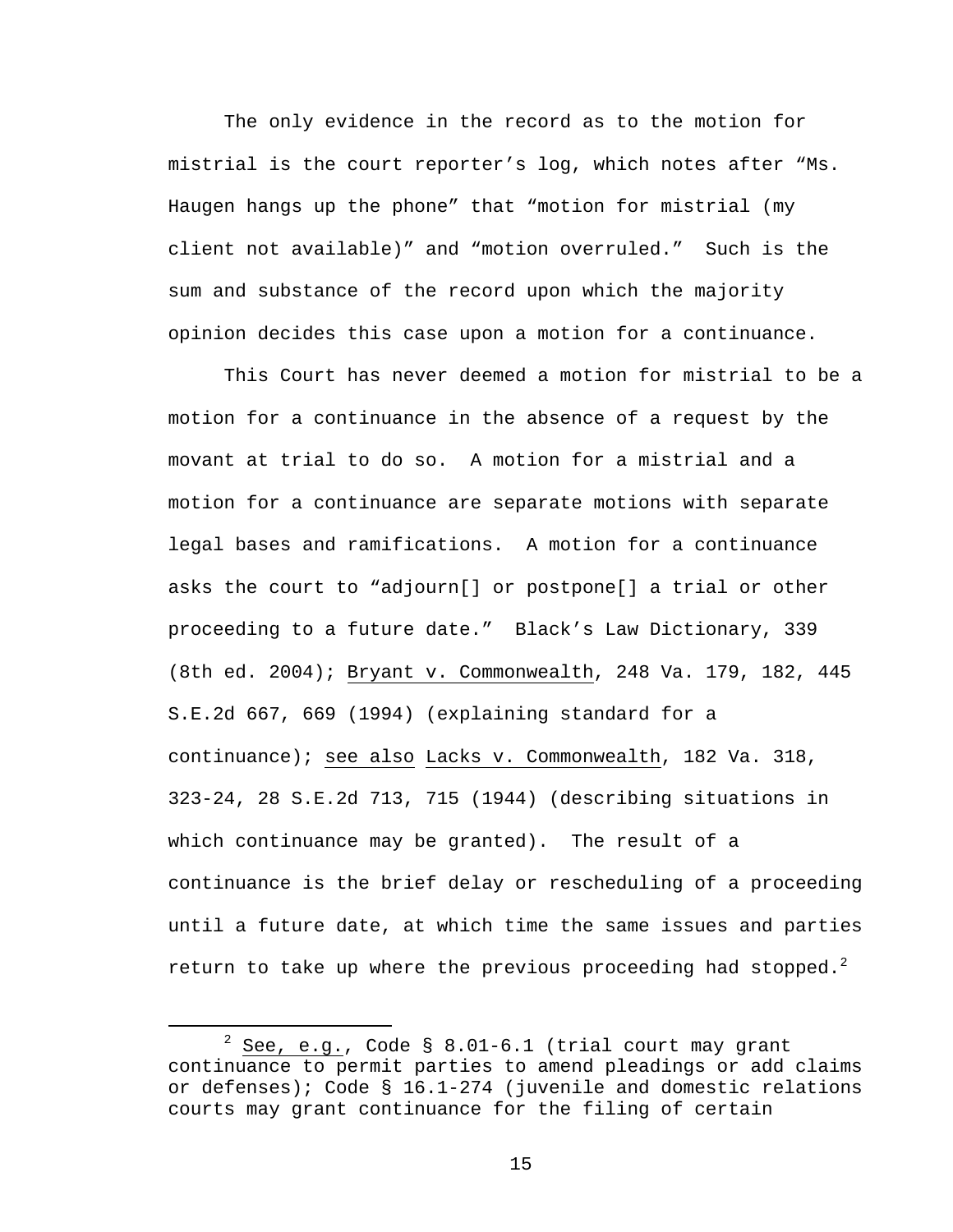The only evidence in the record as to the motion for mistrial is the court reporter's log, which notes after "Ms. Haugen hangs up the phone" that "motion for mistrial (my client not available)" and "motion overruled." Such is the sum and substance of the record upon which the majority opinion decides this case upon a motion for a continuance.

 This Court has never deemed a motion for mistrial to be a motion for a continuance in the absence of a request by the movant at trial to do so. A motion for a mistrial and a motion for a continuance are separate motions with separate legal bases and ramifications. A motion for a continuance asks the court to "adjourn[] or postpone[] a trial or other proceeding to a future date." Black's Law Dictionary, 339 (8th ed. 2004); Bryant v. Commonwealth, 248 Va. 179, 182, 445 S.E.2d 667, 669 (1994) (explaining standard for a continuance); see also Lacks v. Commonwealth, 182 Va. 318, 323-24, 28 S.E.2d 713, 715 (1944) (describing situations in which continuance may be granted). The result of a continuance is the brief delay or rescheduling of a proceeding until a future date, at which time the same issues and parties return to take up where the previous proceeding had stopped.<sup>2</sup>

 $\overline{\phantom{a}}$  $2$  See, e.g., Code § 8.01-6.1 (trial court may grant continuance to permit parties to amend pleadings or add claims or defenses); Code § 16.1-274 (juvenile and domestic relations courts may grant continuance for the filing of certain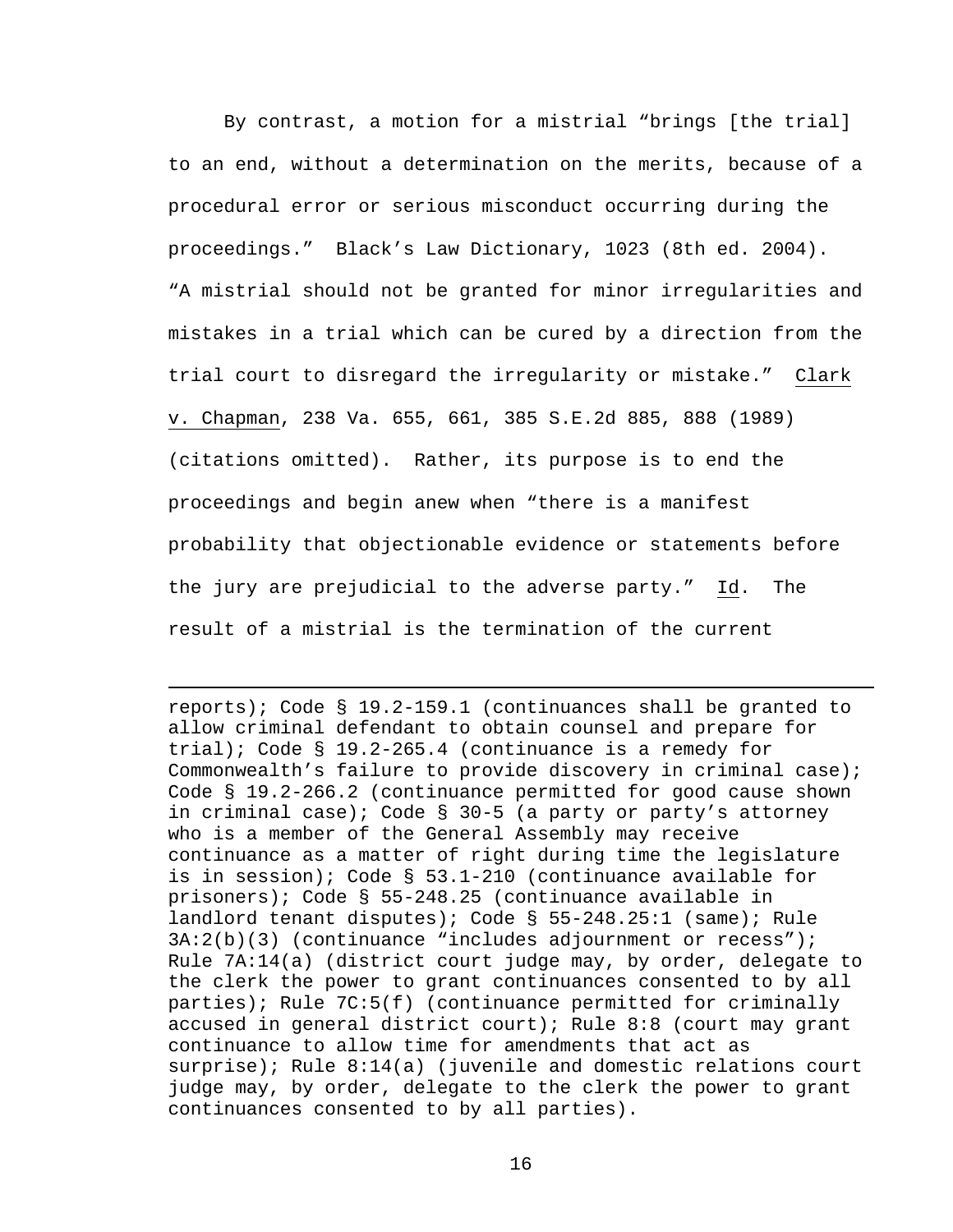By contrast, a motion for a mistrial "brings [the trial] to an end, without a determination on the merits, because of a procedural error or serious misconduct occurring during the proceedings." Black's Law Dictionary, 1023 (8th ed. 2004). "A mistrial should not be granted for minor irregularities and mistakes in a trial which can be cured by a direction from the trial court to disregard the irregularity or mistake." Clark v. Chapman, 238 Va. 655, 661, 385 S.E.2d 885, 888 (1989) (citations omitted). Rather, its purpose is to end the proceedings and begin anew when "there is a manifest probability that objectionable evidence or statements before the jury are prejudicial to the adverse party." Id. The result of a mistrial is the termination of the current

reports); Code § 19.2-159.1 (continuances shall be granted to allow criminal defendant to obtain counsel and prepare for trial); Code § 19.2-265.4 (continuance is a remedy for Commonwealth's failure to provide discovery in criminal case); Code § 19.2-266.2 (continuance permitted for good cause shown in criminal case); Code § 30-5 (a party or party's attorney who is a member of the General Assembly may receive continuance as a matter of right during time the legislature is in session); Code § 53.1-210 (continuance available for prisoners); Code § 55-248.25 (continuance available in landlord tenant disputes); Code § 55-248.25:1 (same); Rule 3A:2(b)(3) (continuance "includes adjournment or recess"); Rule 7A:14(a) (district court judge may, by order, delegate to the clerk the power to grant continuances consented to by all parties); Rule 7C:5(f) (continuance permitted for criminally accused in general district court); Rule 8:8 (court may grant continuance to allow time for amendments that act as surprise); Rule 8:14(a) (juvenile and domestic relations court judge may, by order, delegate to the clerk the power to grant continuances consented to by all parties).

i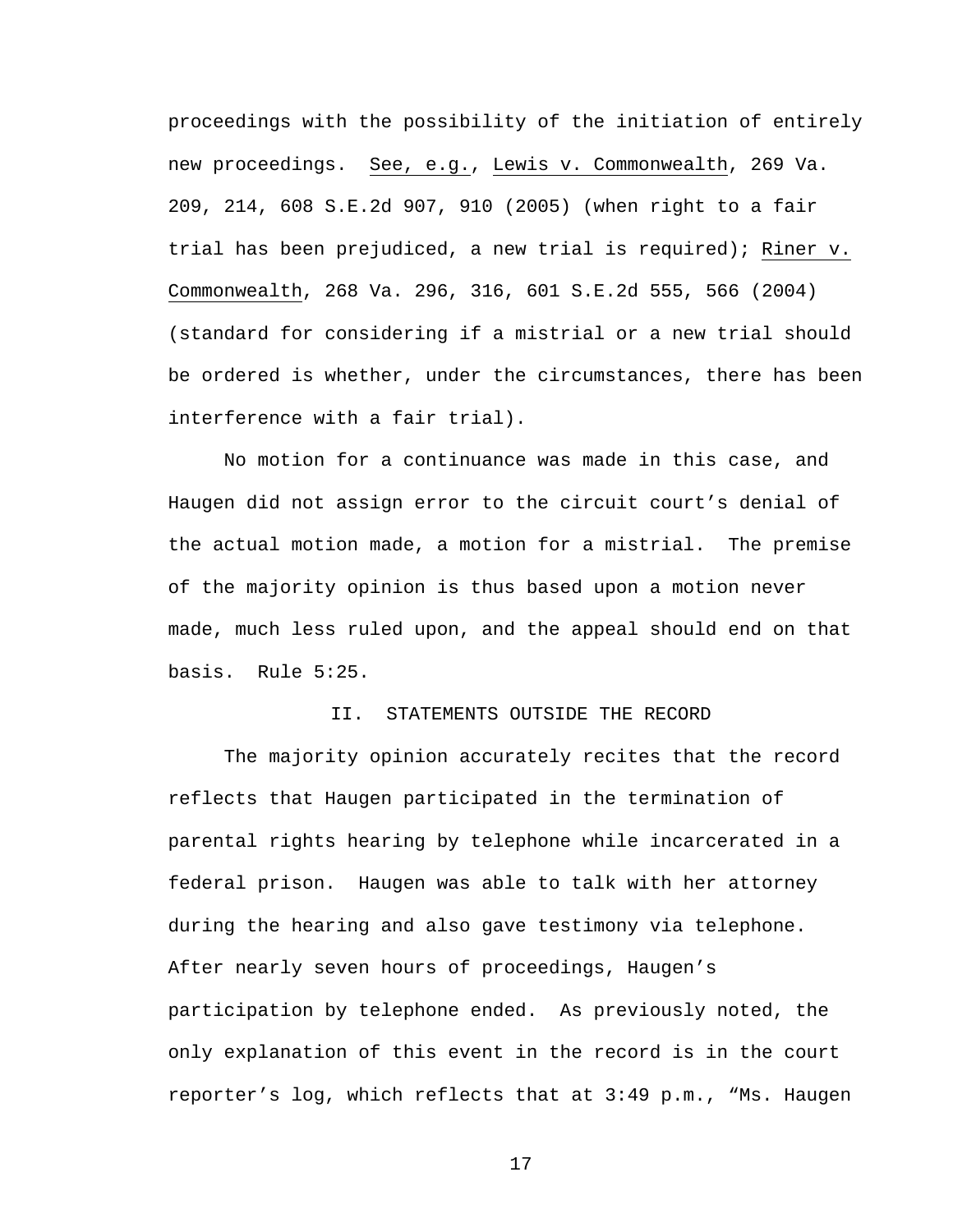proceedings with the possibility of the initiation of entirely new proceedings. See, e.g., Lewis v. Commonwealth, 269 Va. 209, 214, 608 S.E.2d 907, 910 (2005) (when right to a fair trial has been prejudiced, a new trial is required); Riner v. Commonwealth, 268 Va. 296, 316, 601 S.E.2d 555, 566 (2004) (standard for considering if a mistrial or a new trial should be ordered is whether, under the circumstances, there has been interference with a fair trial).

No motion for a continuance was made in this case, and Haugen did not assign error to the circuit court's denial of the actual motion made, a motion for a mistrial. The premise of the majority opinion is thus based upon a motion never made, much less ruled upon, and the appeal should end on that basis. Rule 5:25.

## II. STATEMENTS OUTSIDE THE RECORD

 The majority opinion accurately recites that the record reflects that Haugen participated in the termination of parental rights hearing by telephone while incarcerated in a federal prison. Haugen was able to talk with her attorney during the hearing and also gave testimony via telephone. After nearly seven hours of proceedings, Haugen's participation by telephone ended. As previously noted, the only explanation of this event in the record is in the court reporter's log, which reflects that at 3:49 p.m., "Ms. Haugen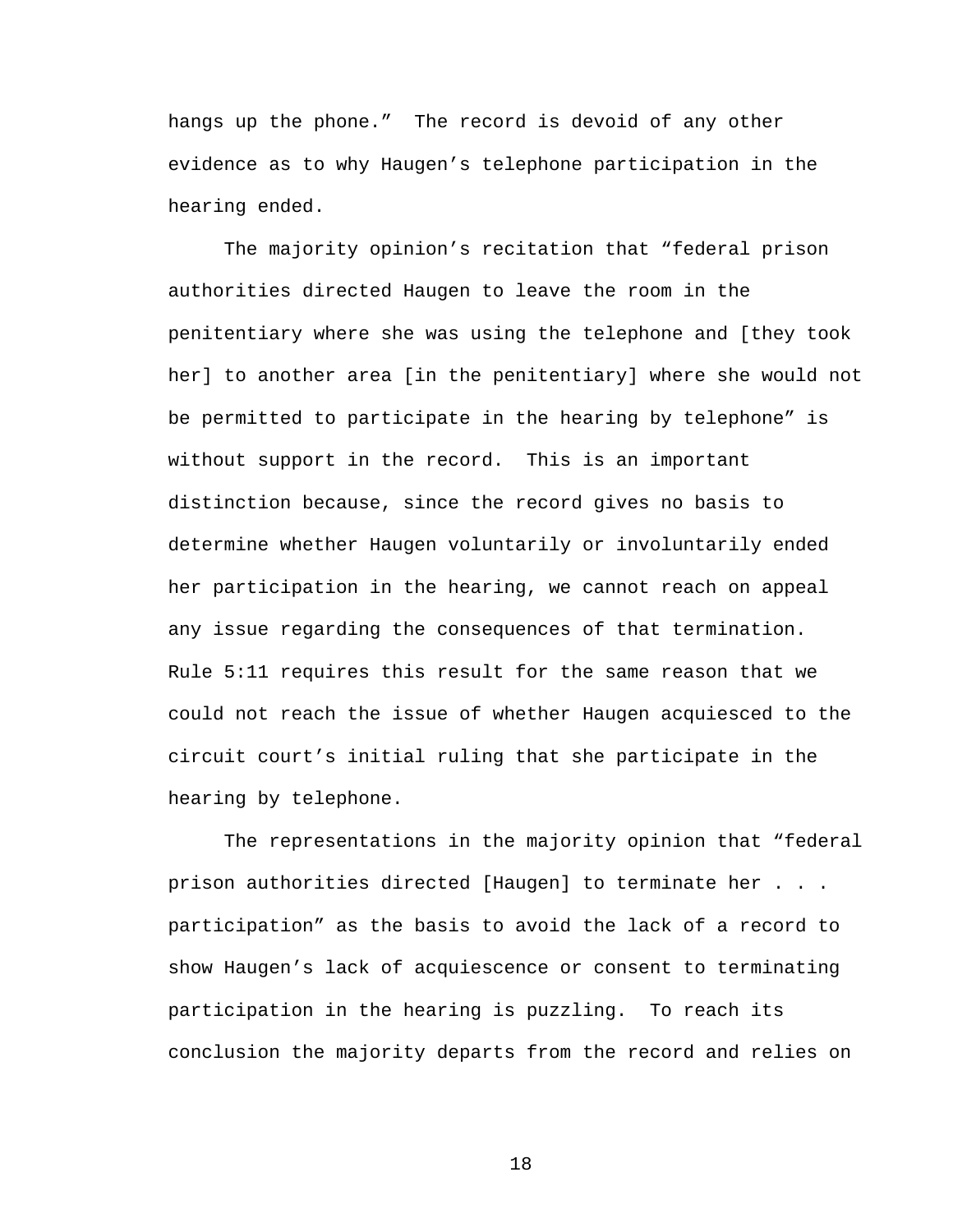hangs up the phone." The record is devoid of any other evidence as to why Haugen's telephone participation in the hearing ended.

The majority opinion's recitation that "federal prison authorities directed Haugen to leave the room in the penitentiary where she was using the telephone and [they took her] to another area [in the penitentiary] where she would not be permitted to participate in the hearing by telephone" is without support in the record. This is an important distinction because, since the record gives no basis to determine whether Haugen voluntarily or involuntarily ended her participation in the hearing, we cannot reach on appeal any issue regarding the consequences of that termination. Rule 5:11 requires this result for the same reason that we could not reach the issue of whether Haugen acquiesced to the circuit court's initial ruling that she participate in the hearing by telephone.

The representations in the majority opinion that "federal prison authorities directed [Haugen] to terminate her . . . participation" as the basis to avoid the lack of a record to show Haugen's lack of acquiescence or consent to terminating participation in the hearing is puzzling. To reach its conclusion the majority departs from the record and relies on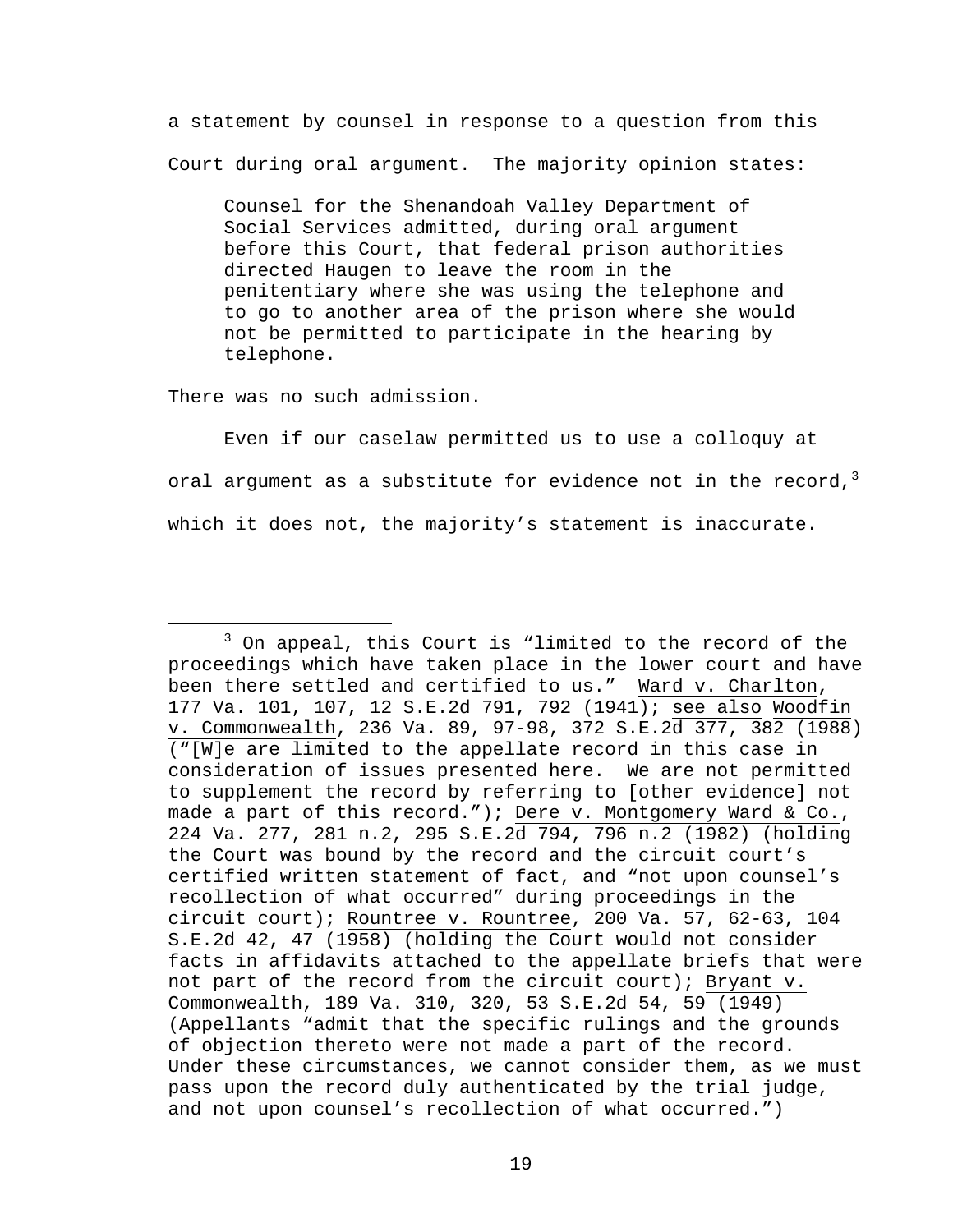a statement by counsel in response to a question from this Court during oral argument. The majority opinion states:

Counsel for the Shenandoah Valley Department of Social Services admitted, during oral argument before this Court, that federal prison authorities directed Haugen to leave the room in the penitentiary where she was using the telephone and to go to another area of the prison where she would not be permitted to participate in the hearing by telephone.

There was no such admission.

 Even if our caselaw permitted us to use a colloquy at oral argument as a substitute for evidence not in the record,  $3$ which it does not, the majority's statement is inaccurate.

 $\overline{\phantom{a}}$  3  $3$  On appeal, this Court is "limited to the record of the proceedings which have taken place in the lower court and have been there settled and certified to us." Ward v. Charlton, 177 Va. 101, 107, 12 S.E.2d 791, 792 (1941); see also Woodfin v. Commonwealth, 236 Va. 89, 97-98, 372 S.E.2d 377, 382 (1988) ("[W]e are limited to the appellate record in this case in consideration of issues presented here. We are not permitted to supplement the record by referring to [other evidence] not made a part of this record."); Dere v. Montgomery Ward & Co., 224 Va. 277, 281 n.2, 295 S.E.2d 794, 796 n.2 (1982) (holding the Court was bound by the record and the circuit court's certified written statement of fact, and "not upon counsel's recollection of what occurred" during proceedings in the circuit court); Rountree v. Rountree, 200 Va. 57, 62-63, 104 S.E.2d 42, 47 (1958) (holding the Court would not consider facts in affidavits attached to the appellate briefs that were not part of the record from the circuit court); Bryant v. Commonwealth, 189 Va. 310, 320, 53 S.E.2d 54, 59 (1949) (Appellants "admit that the specific rulings and the grounds of objection thereto were not made a part of the record. Under these circumstances, we cannot consider them, as we must pass upon the record duly authenticated by the trial judge, and not upon counsel's recollection of what occurred.")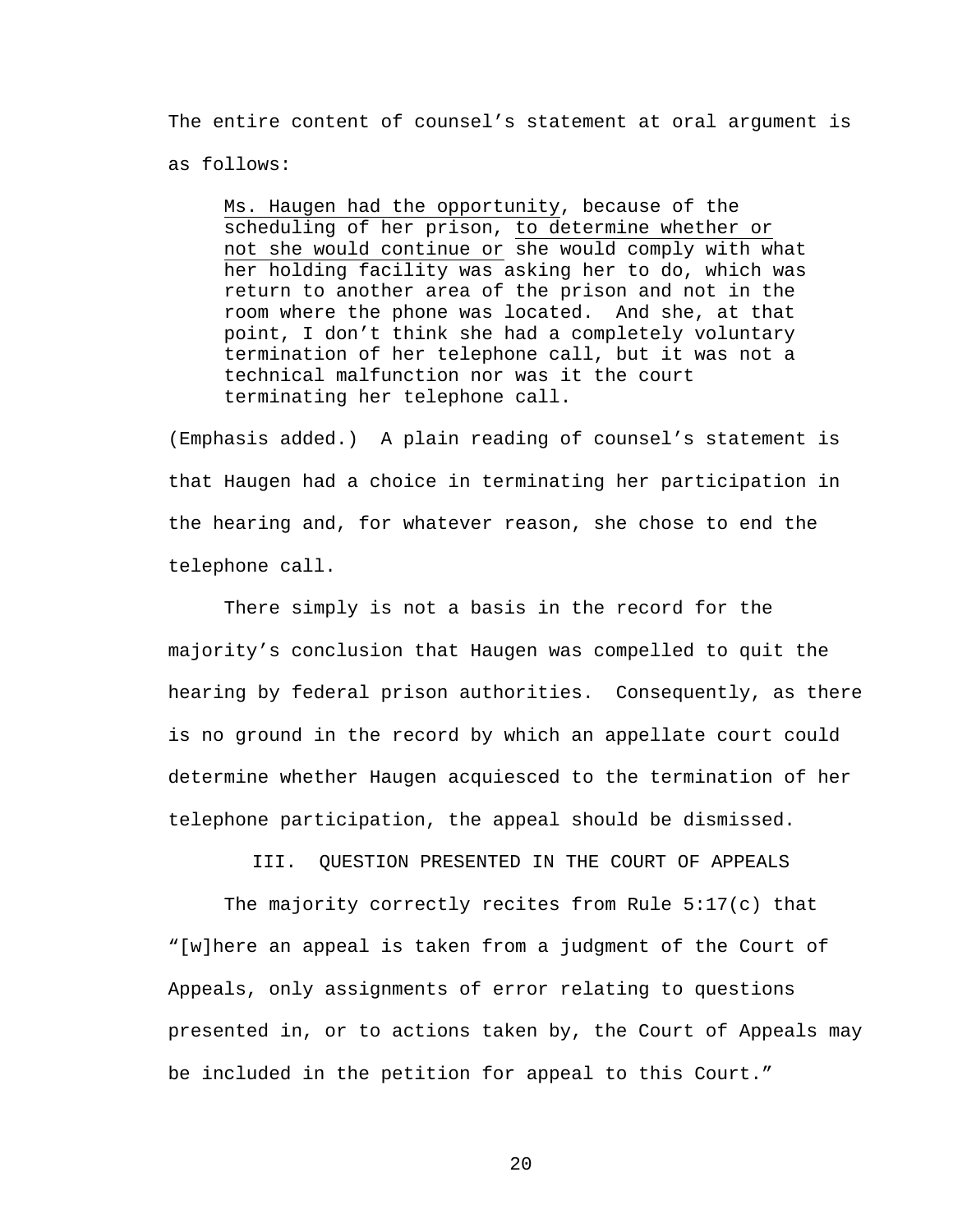The entire content of counsel's statement at oral argument is as follows:

Ms. Haugen had the opportunity, because of the scheduling of her prison, to determine whether or not she would continue or she would comply with what her holding facility was asking her to do, which was return to another area of the prison and not in the room where the phone was located. And she, at that point, I don't think she had a completely voluntary termination of her telephone call, but it was not a technical malfunction nor was it the court terminating her telephone call.

(Emphasis added.) A plain reading of counsel's statement is that Haugen had a choice in terminating her participation in the hearing and, for whatever reason, she chose to end the telephone call.

 There simply is not a basis in the record for the majority's conclusion that Haugen was compelled to quit the hearing by federal prison authorities. Consequently, as there is no ground in the record by which an appellate court could determine whether Haugen acquiesced to the termination of her telephone participation, the appeal should be dismissed.

III. QUESTION PRESENTED IN THE COURT OF APPEALS

 The majority correctly recites from Rule 5:17(c) that "[w]here an appeal is taken from a judgment of the Court of Appeals, only assignments of error relating to questions presented in, or to actions taken by, the Court of Appeals may be included in the petition for appeal to this Court."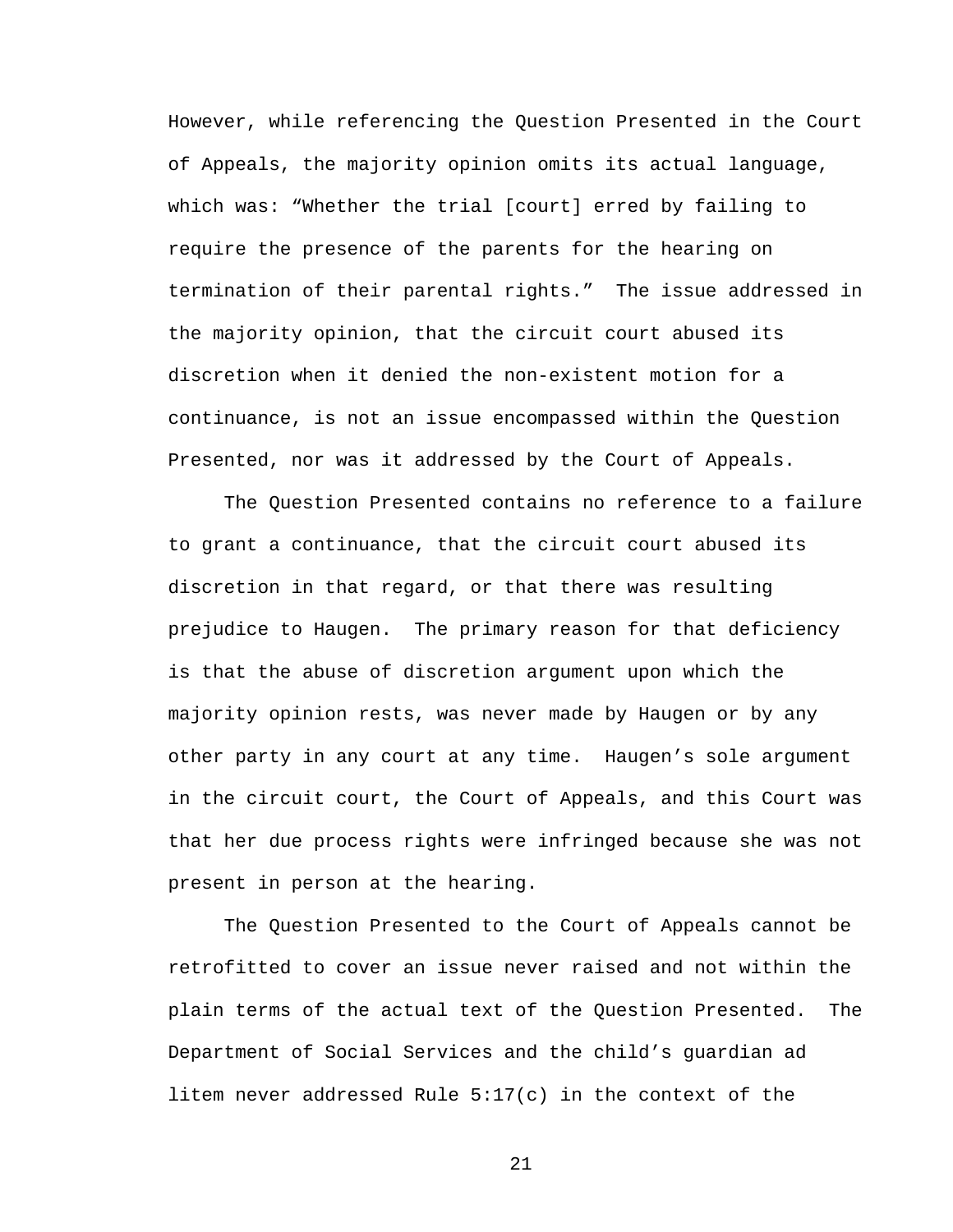However, while referencing the Question Presented in the Court of Appeals, the majority opinion omits its actual language, which was: "Whether the trial [court] erred by failing to require the presence of the parents for the hearing on termination of their parental rights." The issue addressed in the majority opinion, that the circuit court abused its discretion when it denied the non-existent motion for a continuance, is not an issue encompassed within the Question Presented, nor was it addressed by the Court of Appeals.

 The Question Presented contains no reference to a failure to grant a continuance, that the circuit court abused its discretion in that regard, or that there was resulting prejudice to Haugen. The primary reason for that deficiency is that the abuse of discretion argument upon which the majority opinion rests, was never made by Haugen or by any other party in any court at any time. Haugen's sole argument in the circuit court, the Court of Appeals, and this Court was that her due process rights were infringed because she was not present in person at the hearing.

The Question Presented to the Court of Appeals cannot be retrofitted to cover an issue never raised and not within the plain terms of the actual text of the Question Presented. The Department of Social Services and the child's guardian ad litem never addressed Rule 5:17(c) in the context of the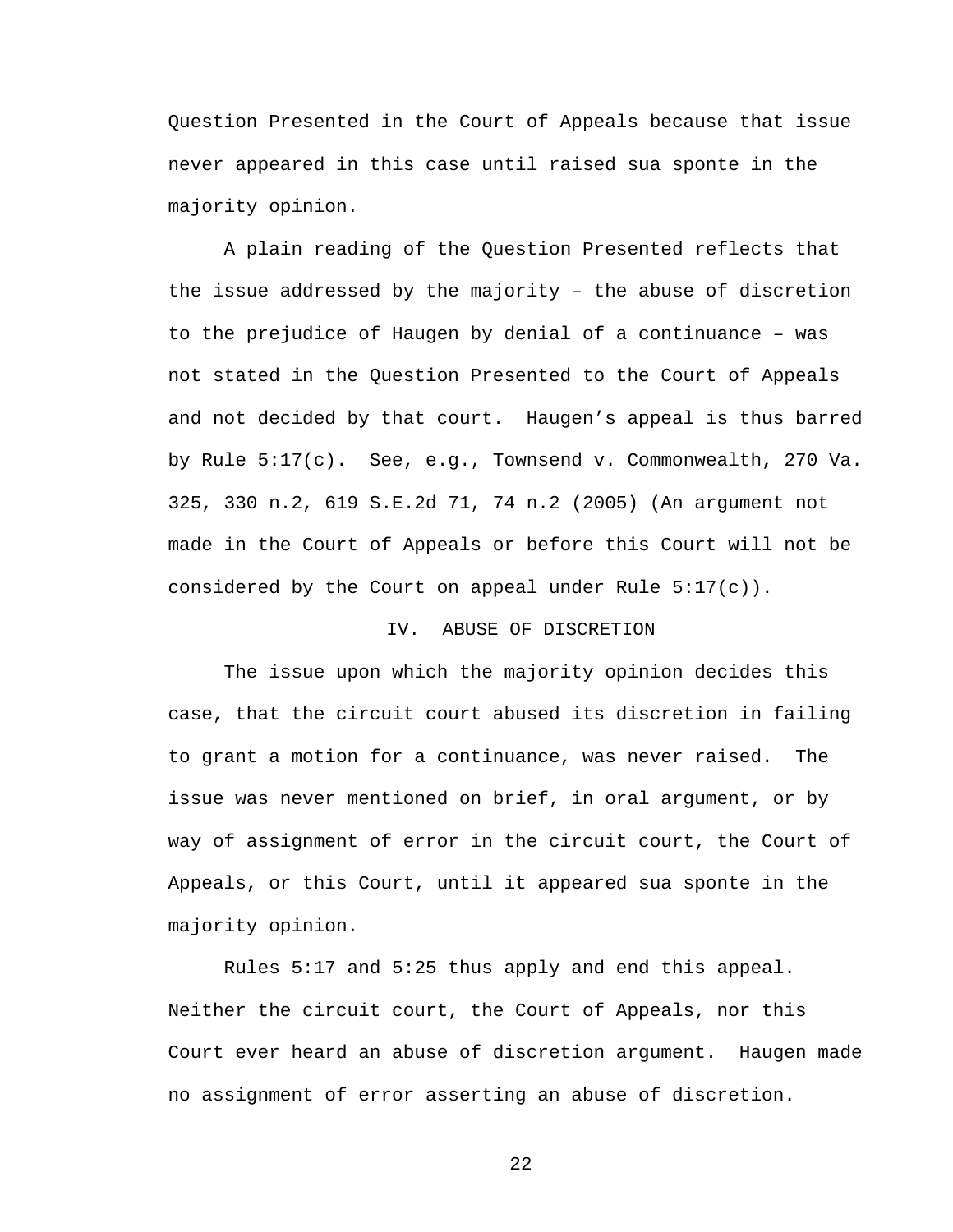Question Presented in the Court of Appeals because that issue never appeared in this case until raised sua sponte in the majority opinion.

A plain reading of the Question Presented reflects that the issue addressed by the majority – the abuse of discretion to the prejudice of Haugen by denial of a continuance – was not stated in the Question Presented to the Court of Appeals and not decided by that court. Haugen's appeal is thus barred by Rule 5:17(c). See, e.g., Townsend v. Commonwealth, 270 Va. 325, 330 n.2, 619 S.E.2d 71, 74 n.2 (2005) (An argument not made in the Court of Appeals or before this Court will not be considered by the Court on appeal under Rule  $5:17(c)$ ).

# IV. ABUSE OF DISCRETION

 The issue upon which the majority opinion decides this case, that the circuit court abused its discretion in failing to grant a motion for a continuance, was never raised. The issue was never mentioned on brief, in oral argument, or by way of assignment of error in the circuit court, the Court of Appeals, or this Court, until it appeared sua sponte in the majority opinion.

 Rules 5:17 and 5:25 thus apply and end this appeal. Neither the circuit court, the Court of Appeals, nor this Court ever heard an abuse of discretion argument. Haugen made no assignment of error asserting an abuse of discretion.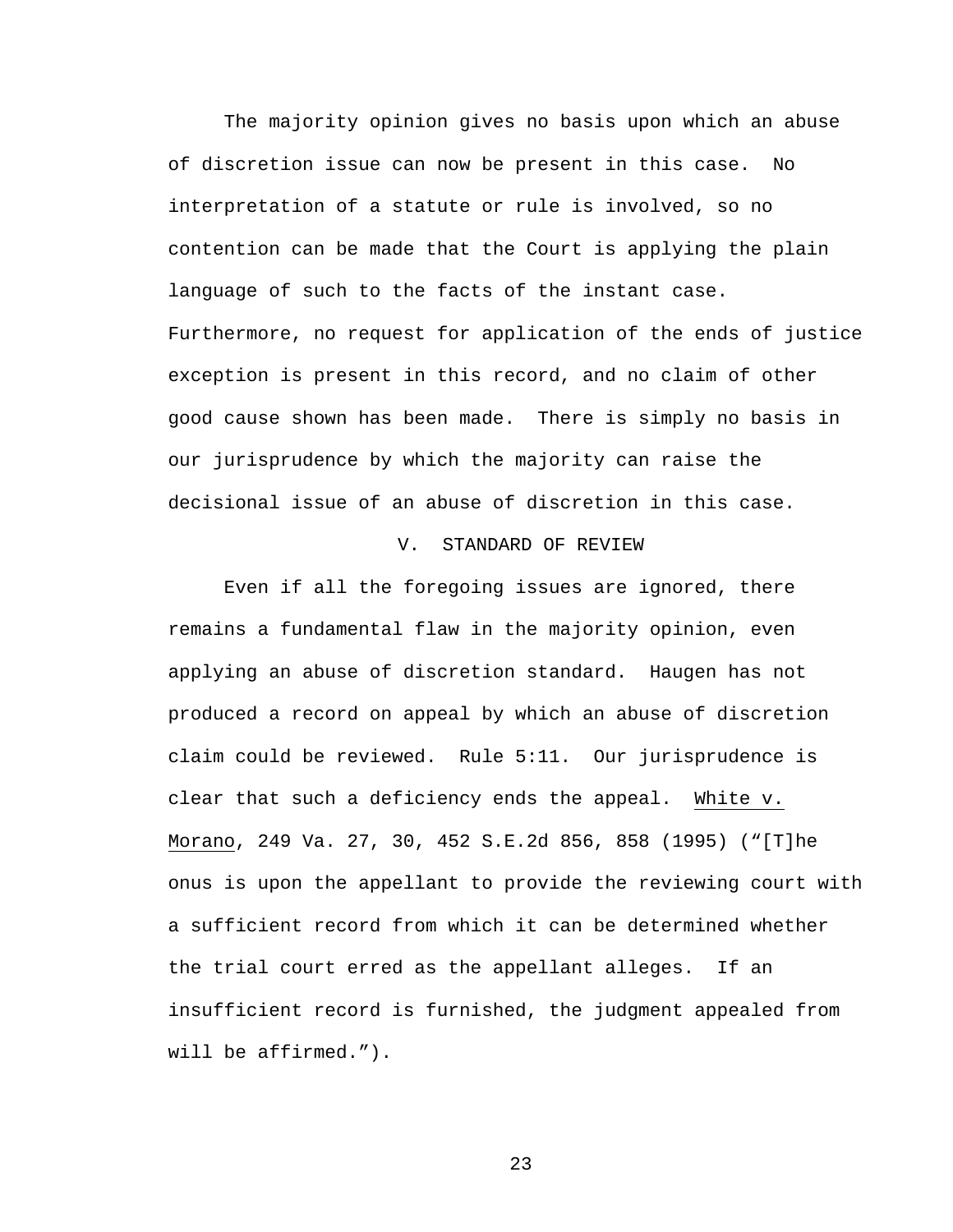The majority opinion gives no basis upon which an abuse of discretion issue can now be present in this case. No interpretation of a statute or rule is involved, so no contention can be made that the Court is applying the plain language of such to the facts of the instant case. Furthermore, no request for application of the ends of justice exception is present in this record, and no claim of other good cause shown has been made. There is simply no basis in our jurisprudence by which the majority can raise the decisional issue of an abuse of discretion in this case.

#### V. STANDARD OF REVIEW

 Even if all the foregoing issues are ignored, there remains a fundamental flaw in the majority opinion, even applying an abuse of discretion standard. Haugen has not produced a record on appeal by which an abuse of discretion claim could be reviewed. Rule 5:11. Our jurisprudence is clear that such a deficiency ends the appeal. White v. Morano, 249 Va. 27, 30, 452 S.E.2d 856, 858 (1995) ("[T]he onus is upon the appellant to provide the reviewing court with a sufficient record from which it can be determined whether the trial court erred as the appellant alleges. If an insufficient record is furnished, the judgment appealed from will be affirmed.").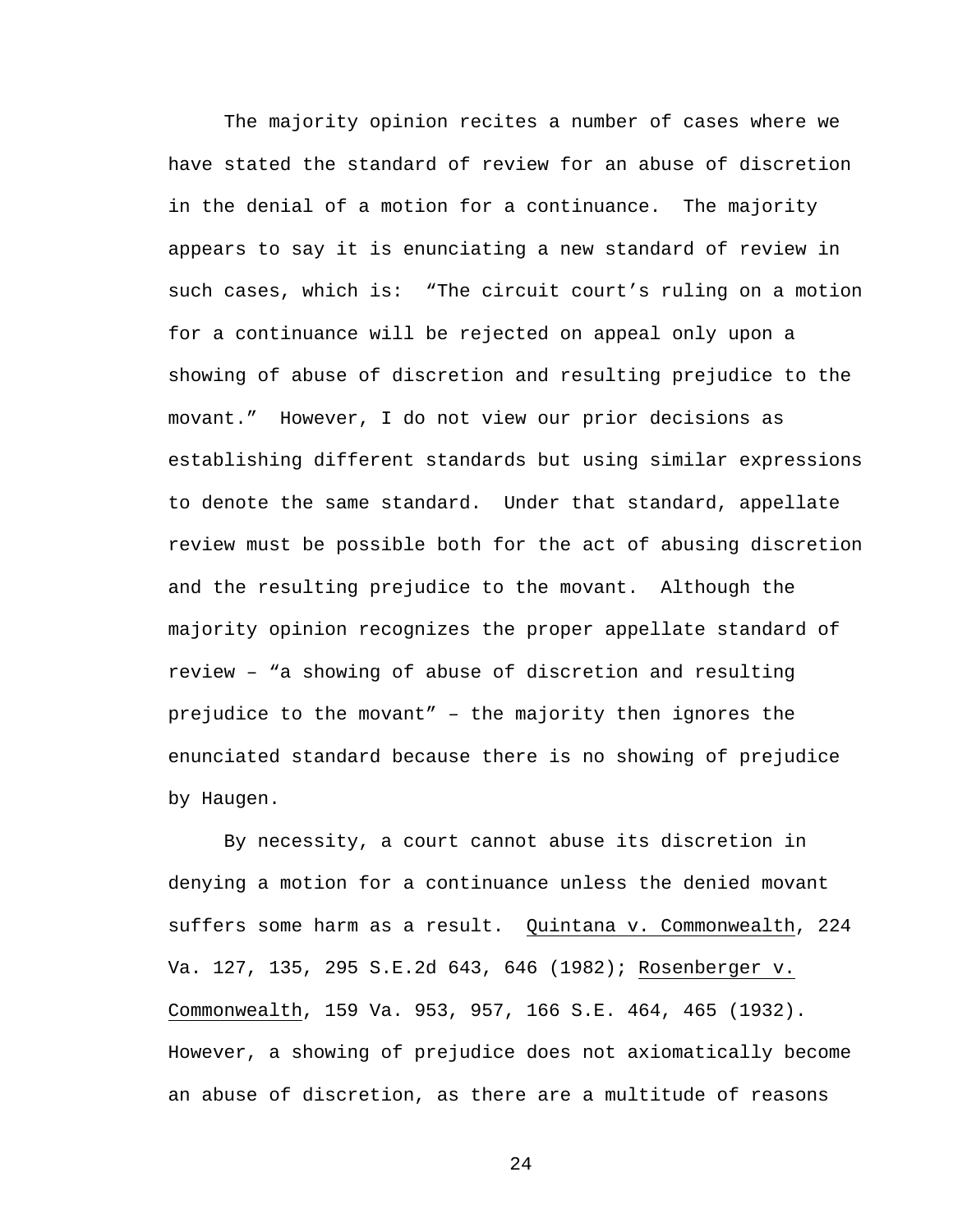The majority opinion recites a number of cases where we have stated the standard of review for an abuse of discretion in the denial of a motion for a continuance. The majority appears to say it is enunciating a new standard of review in such cases, which is: "The circuit court's ruling on a motion for a continuance will be rejected on appeal only upon a showing of abuse of discretion and resulting prejudice to the movant." However, I do not view our prior decisions as establishing different standards but using similar expressions to denote the same standard. Under that standard, appellate review must be possible both for the act of abusing discretion and the resulting prejudice to the movant. Although the majority opinion recognizes the proper appellate standard of review – "a showing of abuse of discretion and resulting prejudice to the movant" – the majority then ignores the enunciated standard because there is no showing of prejudice by Haugen.

By necessity, a court cannot abuse its discretion in denying a motion for a continuance unless the denied movant suffers some harm as a result. Quintana v. Commonwealth, 224 Va. 127, 135, 295 S.E.2d 643, 646 (1982); Rosenberger v. Commonwealth, 159 Va. 953, 957, 166 S.E. 464, 465 (1932). However, a showing of prejudice does not axiomatically become an abuse of discretion, as there are a multitude of reasons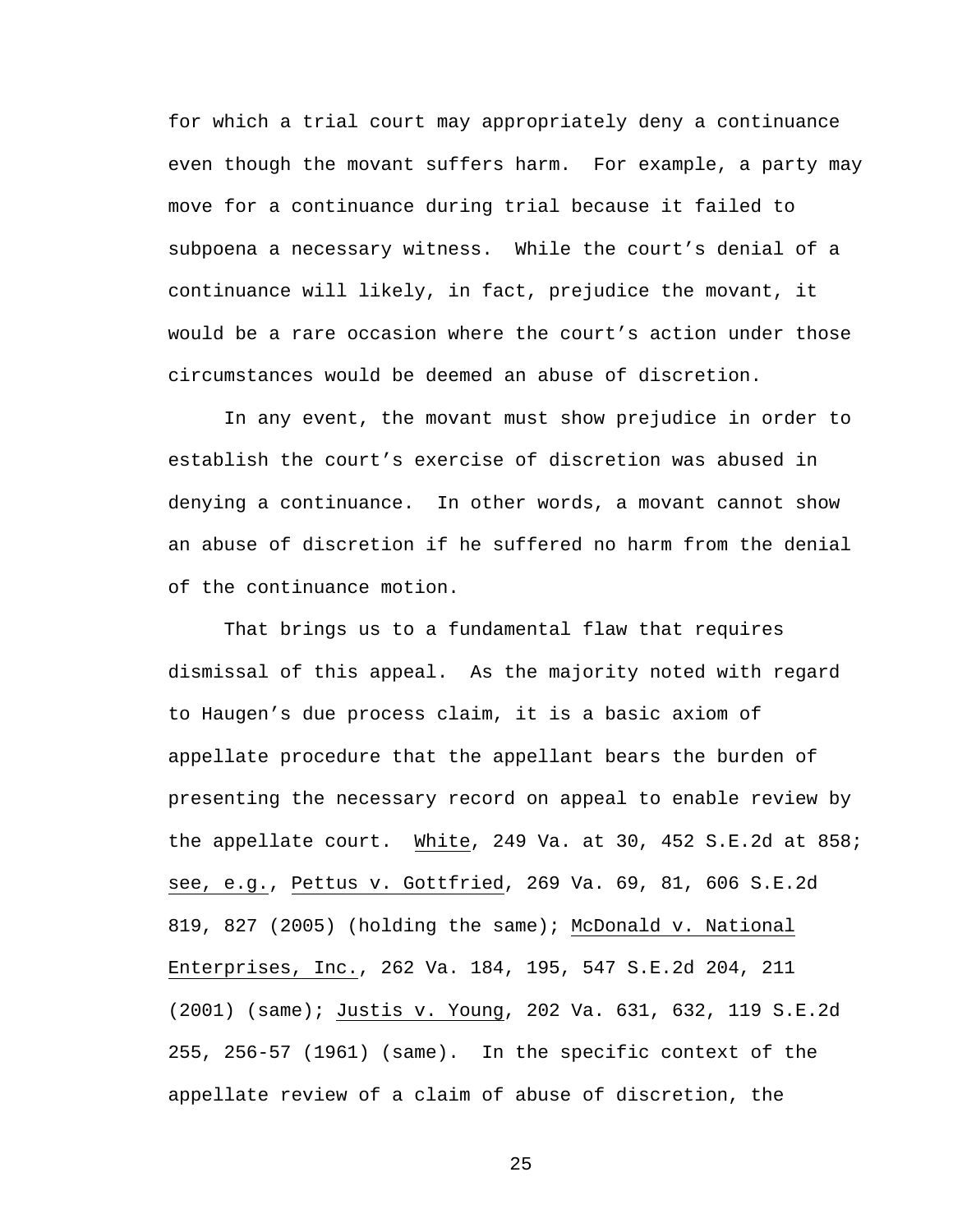for which a trial court may appropriately deny a continuance even though the movant suffers harm. For example, a party may move for a continuance during trial because it failed to subpoena a necessary witness. While the court's denial of a continuance will likely, in fact, prejudice the movant, it would be a rare occasion where the court's action under those circumstances would be deemed an abuse of discretion.

In any event, the movant must show prejudice in order to establish the court's exercise of discretion was abused in denying a continuance. In other words, a movant cannot show an abuse of discretion if he suffered no harm from the denial of the continuance motion.

 That brings us to a fundamental flaw that requires dismissal of this appeal. As the majority noted with regard to Haugen's due process claim, it is a basic axiom of appellate procedure that the appellant bears the burden of presenting the necessary record on appeal to enable review by the appellate court. White, 249 Va. at 30, 452 S.E.2d at 858; see, e.g., Pettus v. Gottfried, 269 Va. 69, 81, 606 S.E.2d 819, 827 (2005) (holding the same); McDonald v. National Enterprises, Inc., 262 Va. 184, 195, 547 S.E.2d 204, 211 (2001) (same); Justis v. Young, 202 Va. 631, 632, 119 S.E.2d 255, 256-57 (1961) (same). In the specific context of the appellate review of a claim of abuse of discretion, the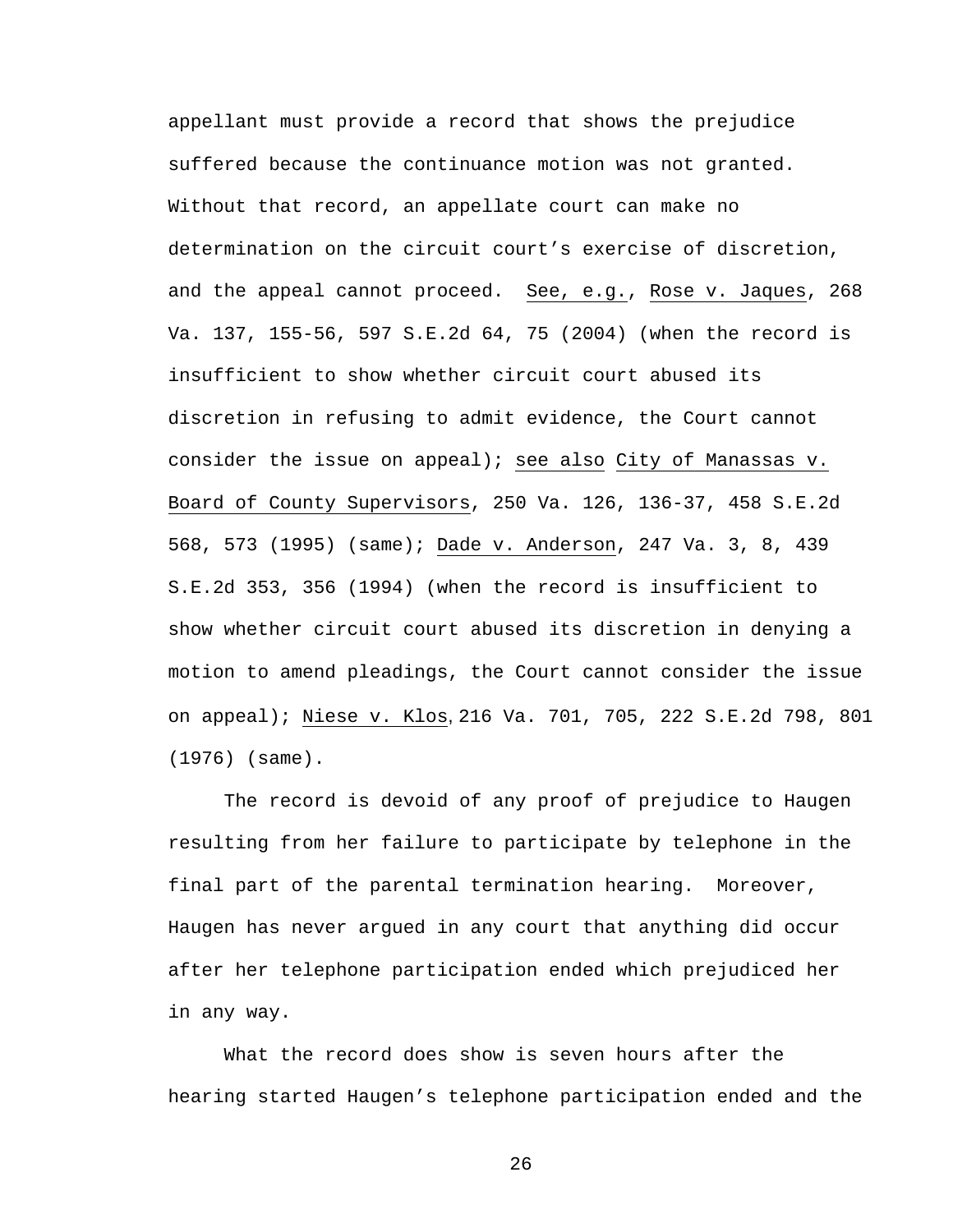appellant must provide a record that shows the prejudice suffered because the continuance motion was not granted. Without that record, an appellate court can make no determination on the circuit court's exercise of discretion, and the appeal cannot proceed. See, e.g., Rose v. Jaques, 268 Va. 137, 155-56, 597 S.E.2d 64, 75 (2004) (when the record is insufficient to show whether circuit court abused its discretion in refusing to admit evidence, the Court cannot consider the issue on appeal); see also City of Manassas v. Board of County Supervisors, 250 Va. 126, 136-37, 458 S.E.2d 568, 573 (1995) (same); Dade v. Anderson, 247 Va. 3, 8, 439 S.E.2d 353, 356 (1994) (when the record is insufficient to show whether circuit court abused its discretion in denying a motion to amend pleadings, the Court cannot consider the issue on appeal); Niese v. Klos, 216 Va. 701, 705, 222 S.E.2d 798, 801 (1976) (same).

 The record is devoid of any proof of prejudice to Haugen resulting from her failure to participate by telephone in the final part of the parental termination hearing. Moreover, Haugen has never argued in any court that anything did occur after her telephone participation ended which prejudiced her in any way.

What the record does show is seven hours after the hearing started Haugen's telephone participation ended and the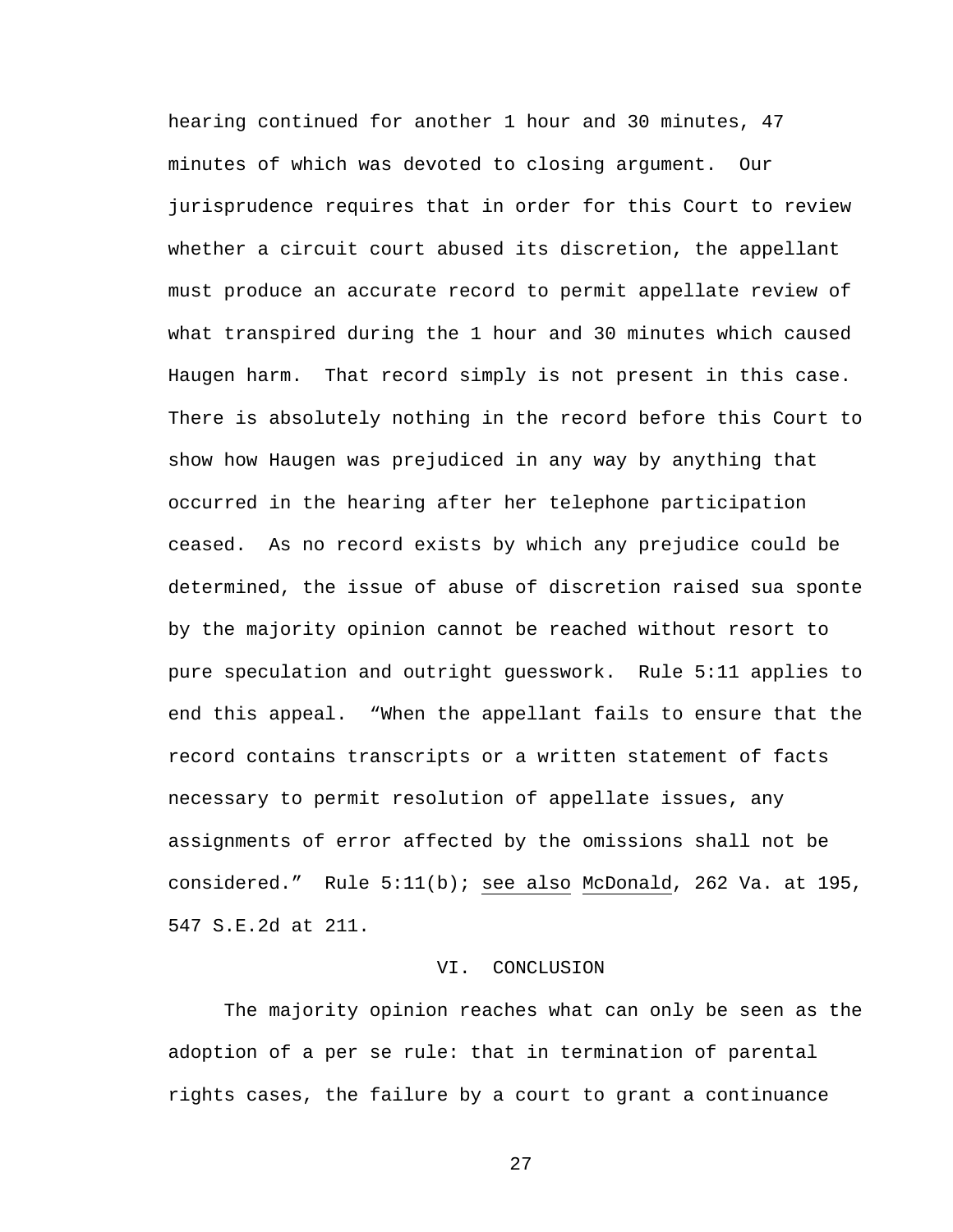hearing continued for another 1 hour and 30 minutes, 47 minutes of which was devoted to closing argument. Our jurisprudence requires that in order for this Court to review whether a circuit court abused its discretion, the appellant must produce an accurate record to permit appellate review of what transpired during the 1 hour and 30 minutes which caused Haugen harm. That record simply is not present in this case. There is absolutely nothing in the record before this Court to show how Haugen was prejudiced in any way by anything that occurred in the hearing after her telephone participation ceased. As no record exists by which any prejudice could be determined, the issue of abuse of discretion raised sua sponte by the majority opinion cannot be reached without resort to pure speculation and outright guesswork. Rule 5:11 applies to end this appeal. "When the appellant fails to ensure that the record contains transcripts or a written statement of facts necessary to permit resolution of appellate issues, any assignments of error affected by the omissions shall not be considered." Rule 5:11(b); see also McDonald, 262 Va. at 195, 547 S.E.2d at 211.

#### VI. CONCLUSION

 The majority opinion reaches what can only be seen as the adoption of a per se rule: that in termination of parental rights cases, the failure by a court to grant a continuance